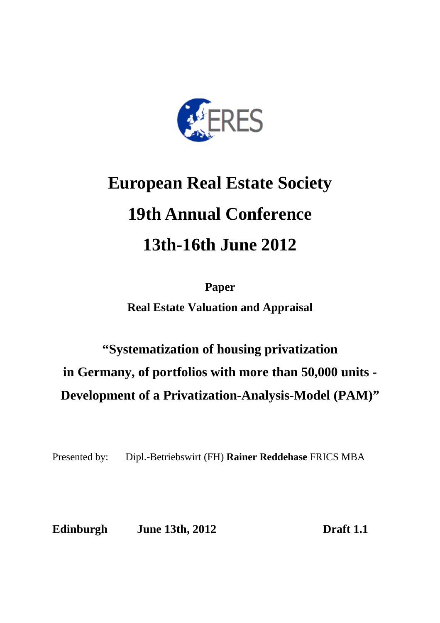

# **European Real Estate Society 19th Annual Conference 13th-16th June 2012**

**Paper Real Estate Valuation and Appraisal** 

## **"Systematization of housing privatization in Germany, of portfolios with more than 50,000 units - Development of a Privatization-Analysis-Model (PAM)"**

Presented by: Dipl.-Betriebswirt (FH) **Rainer Reddehase** FRICS MBA

**Edinburgh June 13th, 2012 Draft 1.1**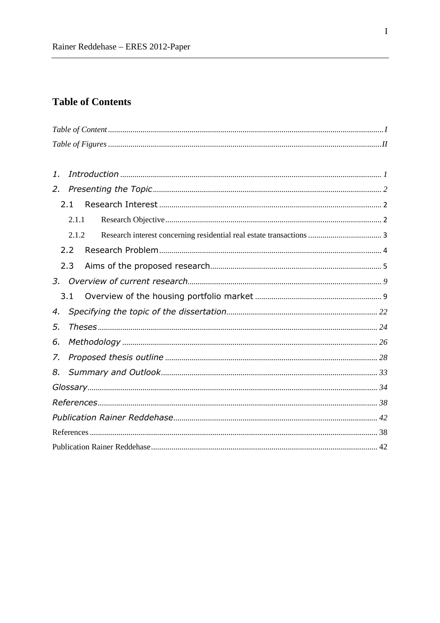## **Table of Contents**

| 1. |       |  |  |  |  |  |  |
|----|-------|--|--|--|--|--|--|
| 2. |       |  |  |  |  |  |  |
|    | 2.1   |  |  |  |  |  |  |
|    | 2.1.1 |  |  |  |  |  |  |
|    | 2.1.2 |  |  |  |  |  |  |
|    | 2.2   |  |  |  |  |  |  |
|    | 2.3   |  |  |  |  |  |  |
|    |       |  |  |  |  |  |  |
|    | 3.1   |  |  |  |  |  |  |
| 4. |       |  |  |  |  |  |  |
| 5. |       |  |  |  |  |  |  |
| 6. |       |  |  |  |  |  |  |
| 7. |       |  |  |  |  |  |  |
| 8. |       |  |  |  |  |  |  |
|    |       |  |  |  |  |  |  |
|    |       |  |  |  |  |  |  |
|    |       |  |  |  |  |  |  |
|    |       |  |  |  |  |  |  |
|    |       |  |  |  |  |  |  |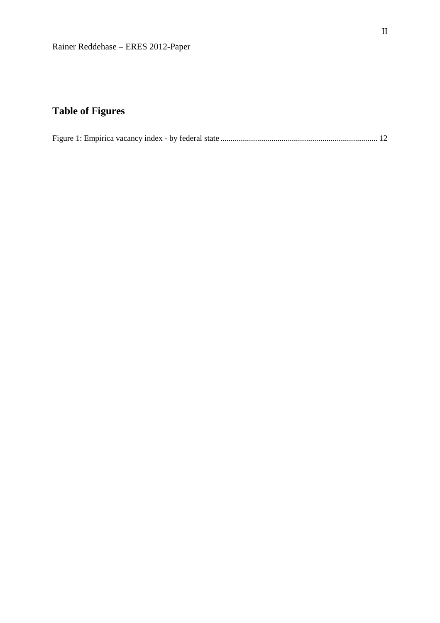## **Table of Figures**

|--|--|--|--|--|--|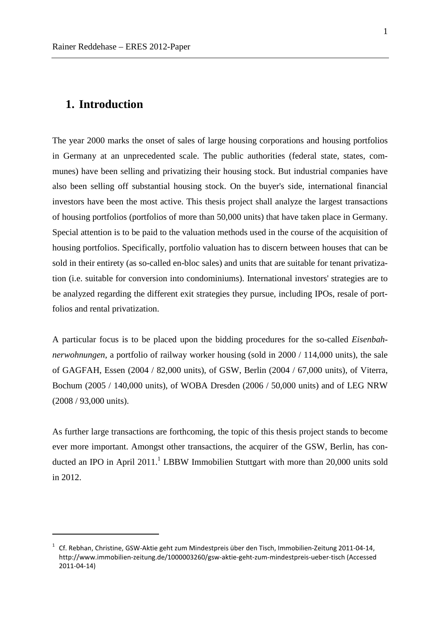## **1. Introduction**

 $\overline{a}$ 

The year 2000 marks the onset of sales of large housing corporations and housing portfolios in Germany at an unprecedented scale. The public authorities (federal state, states, communes) have been selling and privatizing their housing stock. But industrial companies have also been selling off substantial housing stock. On the buyer's side, international financial investors have been the most active. This thesis project shall analyze the largest transactions of housing portfolios (portfolios of more than 50,000 units) that have taken place in Germany. Special attention is to be paid to the valuation methods used in the course of the acquisition of housing portfolios. Specifically, portfolio valuation has to discern between houses that can be sold in their entirety (as so-called en-bloc sales) and units that are suitable for tenant privatization (i.e. suitable for conversion into condominiums). International investors' strategies are to be analyzed regarding the different exit strategies they pursue, including IPOs, resale of portfolios and rental privatization.

A particular focus is to be placed upon the bidding procedures for the so-called *Eisenbahnerwohnungen*, a portfolio of railway worker housing (sold in 2000 / 114,000 units), the sale of GAGFAH, Essen (2004 / 82,000 units), of GSW, Berlin (2004 / 67,000 units), of Viterra, Bochum (2005 / 140,000 units), of WOBA Dresden (2006 / 50,000 units) and of LEG NRW (2008 / 93,000 units).

As further large transactions are forthcoming, the topic of this thesis project stands to become ever more important. Amongst other transactions, the acquirer of the GSW, Berlin, has conducted an IPO in April  $2011$ .<sup>1</sup> LBBW Immobilien Stuttgart with more than  $20,000$  units sold in 2012.

<sup>&</sup>lt;sup>1</sup> Cf. Rebhan, Christine, GSW-Aktie geht zum Mindestpreis über den Tisch, Immobilien-Zeitung 2011-04-14, http://www.immobilien-zeitung.de/1000003260/gsw-aktie-geht-zum-mindestpreis-ueber-tisch (Accessed 2011-04-14)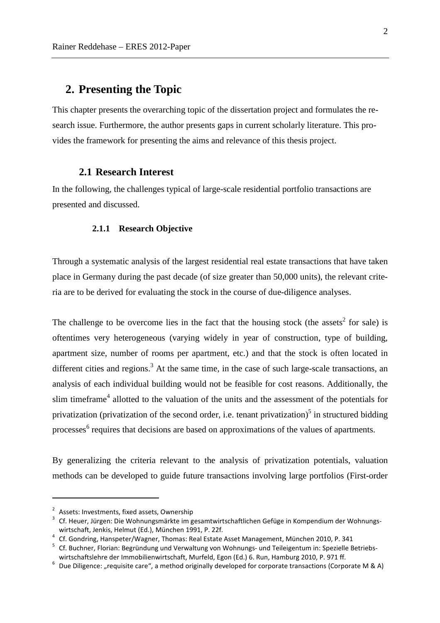## **2. Presenting the Topic**

This chapter presents the overarching topic of the dissertation project and formulates the research issue. Furthermore, the author presents gaps in current scholarly literature. This provides the framework for presenting the aims and relevance of this thesis project.

#### **2.1 Research Interest**

In the following, the challenges typical of large-scale residential portfolio transactions are presented and discussed.

#### **2.1.1 Research Objective**

Through a systematic analysis of the largest residential real estate transactions that have taken place in Germany during the past decade (of size greater than 50,000 units), the relevant criteria are to be derived for evaluating the stock in the course of due-diligence analyses.

The challenge to be overcome lies in the fact that the housing stock (the assets<sup>2</sup> for sale) is oftentimes very heterogeneous (varying widely in year of construction, type of building, apartment size, number of rooms per apartment, etc.) and that the stock is often located in different cities and regions.<sup>3</sup> At the same time, in the case of such large-scale transactions, an analysis of each individual building would not be feasible for cost reasons. Additionally, the slim timeframe<sup>4</sup> allotted to the valuation of the units and the assessment of the potentials for privatization (privatization of the second order, i.e. tenant privatization)<sup>5</sup> in structured bidding processes<sup>6</sup> requires that decisions are based on approximations of the values of apartments.

By generalizing the criteria relevant to the analysis of privatization potentials, valuation methods can be developed to guide future transactions involving large portfolios (First-order

 $\overline{a}$ 

<sup>&</sup>lt;sup>2</sup> Assets: Investments, fixed assets, Ownership

<sup>&</sup>lt;sup>3</sup> Cf. Heuer, Jürgen: Die Wohnungsmärkte im gesamtwirtschaftlichen Gefüge in Kompendium der Wohnungswirtschaft, Jenkis, Helmut (Ed.), München 1991, P. 22f.

<sup>&</sup>lt;sup>4</sup> Cf. Gondring, Hanspeter/Wagner, Thomas: Real Estate Asset Management, München 2010, P. 341

<sup>5</sup> Cf. Buchner, Florian: Begründung und Verwaltung von Wohnungs- und Teileigentum in: Spezielle Betriebswirtschaftslehre der Immobilienwirtschaft, Murfeld, Egon (Ed.) 6. Run, Hamburg 2010, P. 971 ff.

 $^6$  Due Diligence: "requisite care", a method originally developed for corporate transactions (Corporate M & A)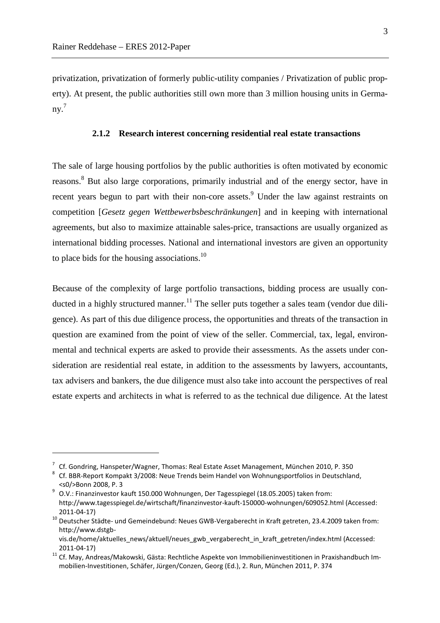$\overline{a}$ 

privatization, privatization of formerly public-utility companies / Privatization of public property). At present, the public authorities still own more than 3 million housing units in Germany. 7

#### **2.1.2 Research interest concerning residential real estate transactions**

The sale of large housing portfolios by the public authorities is often motivated by economic reasons.<sup>8</sup> But also large corporations, primarily industrial and of the energy sector, have in recent years begun to part with their non-core assets.<sup>9</sup> Under the law against restraints on competition [*Gesetz gegen Wettbewerbsbeschränkungen*] and in keeping with international agreements, but also to maximize attainable sales-price, transactions are usually organized as international bidding processes. National and international investors are given an opportunity to place bids for the housing associations.<sup>10</sup>

Because of the complexity of large portfolio transactions, bidding process are usually conducted in a highly structured manner.<sup>11</sup> The seller puts together a sales team (vendor due diligence). As part of this due diligence process, the opportunities and threats of the transaction in question are examined from the point of view of the seller. Commercial, tax, legal, environmental and technical experts are asked to provide their assessments. As the assets under consideration are residential real estate, in addition to the assessments by lawyers, accountants, tax advisers and bankers, the due diligence must also take into account the perspectives of real estate experts and architects in what is referred to as the technical due diligence. At the latest

 $^7$  Cf. Gondring, Hanspeter/Wagner, Thomas: Real Estate Asset Management, München 2010, P. 350

<sup>&</sup>lt;sup>8</sup> Cf. BBR-Report Kompakt 3/2008: Neue Trends beim Handel von Wohnungsportfolios in Deutschland, <s0/>Bonn 2008, P. 3

<sup>&</sup>lt;sup>9</sup> O.V.: Finanzinvestor kauft 150.000 Wohnungen, Der Tagesspiegel (18.05.2005) taken from: http://www.tagesspiegel.de/wirtschaft/finanzinvestor-kauft-150000-wohnungen/609052.html (Accessed: 2011-04-17)

<sup>&</sup>lt;sup>10</sup> Deutscher Städte- und Gemeindebund: Neues GWB-Vergaberecht in Kraft getreten, 23.4.2009 taken from: http://www.dstgb-

vis.de/home/aktuelles\_news/aktuell/neues\_gwb\_vergaberecht\_in\_kraft\_getreten/index.html (Accessed: 2011-04-17)

<sup>11</sup> Cf. May, Andreas/Makowski, Gästa: Rechtliche Aspekte von Immobilieninvestitionen in Praxishandbuch Immobilien-Investitionen, Schäfer, Jürgen/Conzen, Georg (Ed.), 2. Run, München 2011, P. 374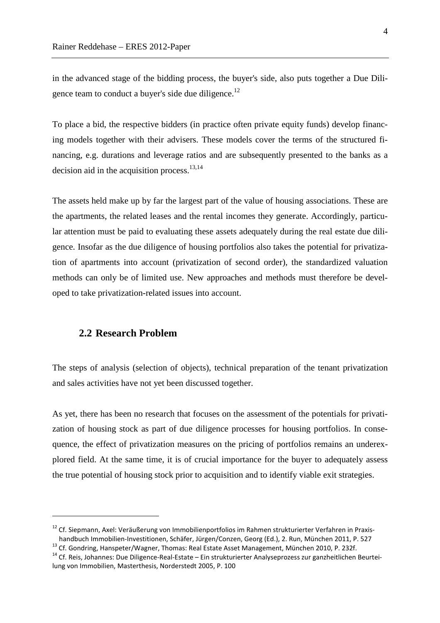in the advanced stage of the bidding process, the buyer's side, also puts together a Due Diligence team to conduct a buyer's side due diligence.<sup>12</sup>

To place a bid, the respective bidders (in practice often private equity funds) develop financing models together with their advisers. These models cover the terms of the structured financing, e.g. durations and leverage ratios and are subsequently presented to the banks as a decision aid in the acquisition process. $13,14$ 

The assets held make up by far the largest part of the value of housing associations. These are the apartments, the related leases and the rental incomes they generate. Accordingly, particular attention must be paid to evaluating these assets adequately during the real estate due diligence. Insofar as the due diligence of housing portfolios also takes the potential for privatization of apartments into account (privatization of second order), the standardized valuation methods can only be of limited use. New approaches and methods must therefore be developed to take privatization-related issues into account.

#### **2.2 Research Problem**

 $\overline{a}$ 

The steps of analysis (selection of objects), technical preparation of the tenant privatization and sales activities have not yet been discussed together.

As yet, there has been no research that focuses on the assessment of the potentials for privatization of housing stock as part of due diligence processes for housing portfolios. In consequence, the effect of privatization measures on the pricing of portfolios remains an underexplored field. At the same time, it is of crucial importance for the buyer to adequately assess the true potential of housing stock prior to acquisition and to identify viable exit strategies.

<sup>&</sup>lt;sup>12</sup> Cf. Siepmann, Axel: Veräußerung von Immobilienportfolios im Rahmen strukturierter Verfahren in Praxishandbuch Immobilien-Investitionen, Schäfer, Jürgen/Conzen, Georg (Ed.), 2. Run, München 2011, P. 527

<sup>13</sup> Cf. Gondring, Hanspeter/Wagner, Thomas: Real Estate Asset Management, München 2010, P. 232f.

<sup>&</sup>lt;sup>14</sup> Cf. Reis, Johannes: Due Diligence-Real-Estate – Ein strukturierter Analyseprozess zur ganzheitlichen Beurteilung von Immobilien, Masterthesis, Norderstedt 2005, P. 100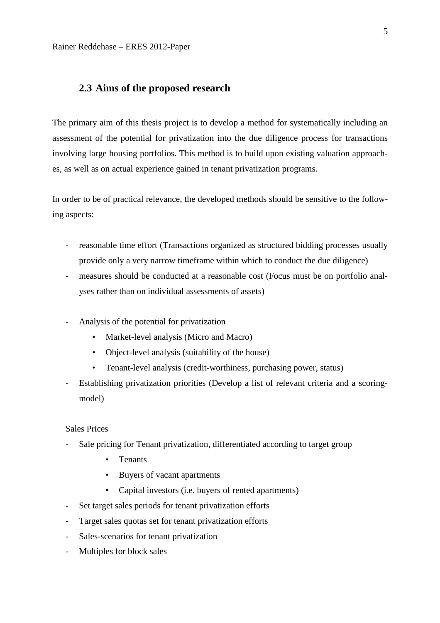#### **2.3 Aims of the proposed research**

The primary aim of this thesis project is to develop a method for systematically including an assessment of the potential for privatization into the due diligence process for transactions involving large housing portfolios. This method is to build upon existing valuation approaches, as well as on actual experience gained in tenant privatization programs.

In order to be of practical relevance, the developed methods should be sensitive to the following aspects:

- reasonable time effort (Transactions organized as structured bidding processes usually provide only a very narrow timeframe within which to conduct the due diligence)
- measures should be conducted at a reasonable cost (Focus must be on portfolio analyses rather than on individual assessments of assets)
- Analysis of the potential for privatization
	- Market-level analysis (Micro and Macro)
	- Object-level analysis (suitability of the house)
	- Tenant-level analysis (credit-worthiness, purchasing power, status)
- Establishing privatization priorities (Develop a list of relevant criteria and a scoringmodel)

#### Sales Prices

- Sale pricing for Tenant privatization, differentiated according to target group
	- **Tenants**
	- Buyers of vacant apartments
	- Capital investors (i.e. buyers of rented apartments)
- Set target sales periods for tenant privatization efforts
- Target sales quotas set for tenant privatization efforts
- Sales-scenarios for tenant privatization
- Multiples for block sales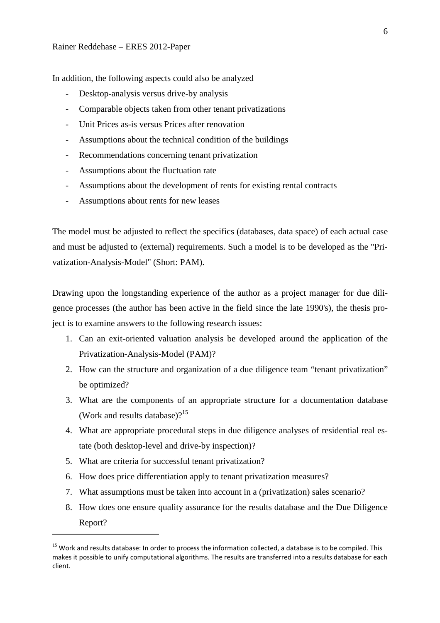In addition, the following aspects could also be analyzed

- Desktop-analysis versus drive-by analysis
- Comparable objects taken from other tenant privatizations
- Unit Prices as-is versus Prices after renovation
- Assumptions about the technical condition of the buildings
- Recommendations concerning tenant privatization
- Assumptions about the fluctuation rate
- Assumptions about the development of rents for existing rental contracts
- Assumptions about rents for new leases

The model must be adjusted to reflect the specifics (databases, data space) of each actual case and must be adjusted to (external) requirements. Such a model is to be developed as the "Privatization-Analysis-Model" (Short: PAM).

Drawing upon the longstanding experience of the author as a project manager for due diligence processes (the author has been active in the field since the late 1990's), the thesis project is to examine answers to the following research issues:

- 1. Can an exit-oriented valuation analysis be developed around the application of the Privatization-Analysis-Model (PAM)?
- 2. How can the structure and organization of a due diligence team "tenant privatization" be optimized?
- 3. What are the components of an appropriate structure for a documentation database (Work and results database)? $15$
- 4. What are appropriate procedural steps in due diligence analyses of residential real estate (both desktop-level and drive-by inspection)?
- 5. What are criteria for successful tenant privatization?

 $\overline{a}$ 

- 6. How does price differentiation apply to tenant privatization measures?
- 7. What assumptions must be taken into account in a (privatization) sales scenario?
- 8. How does one ensure quality assurance for the results database and the Due Diligence Report?

<sup>&</sup>lt;sup>15</sup> Work and results database: In order to process the information collected, a database is to be compiled. This makes it possible to unify computational algorithms. The results are transferred into a results database for each client.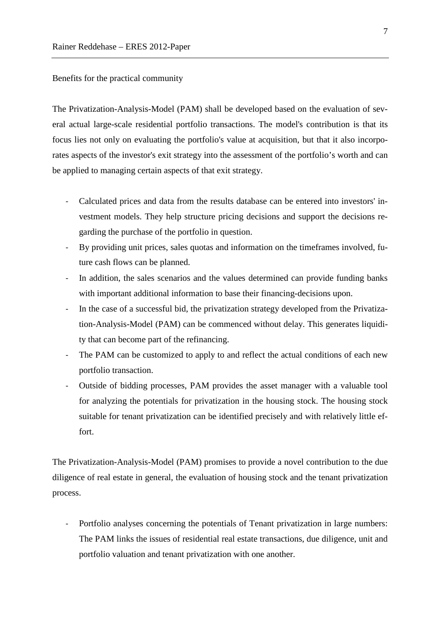Benefits for the practical community

The Privatization-Analysis-Model (PAM) shall be developed based on the evaluation of several actual large-scale residential portfolio transactions. The model's contribution is that its focus lies not only on evaluating the portfolio's value at acquisition, but that it also incorporates aspects of the investor's exit strategy into the assessment of the portfolio's worth and can be applied to managing certain aspects of that exit strategy.

- Calculated prices and data from the results database can be entered into investors' investment models. They help structure pricing decisions and support the decisions regarding the purchase of the portfolio in question.
- By providing unit prices, sales quotas and information on the timeframes involved, future cash flows can be planned.
- In addition, the sales scenarios and the values determined can provide funding banks with important additional information to base their financing-decisions upon.
- In the case of a successful bid, the privatization strategy developed from the Privatization-Analysis-Model (PAM) can be commenced without delay. This generates liquidity that can become part of the refinancing.
- The PAM can be customized to apply to and reflect the actual conditions of each new portfolio transaction.
- Outside of bidding processes, PAM provides the asset manager with a valuable tool for analyzing the potentials for privatization in the housing stock. The housing stock suitable for tenant privatization can be identified precisely and with relatively little effort.

The Privatization-Analysis-Model (PAM) promises to provide a novel contribution to the due diligence of real estate in general, the evaluation of housing stock and the tenant privatization process.

- Portfolio analyses concerning the potentials of Tenant privatization in large numbers: The PAM links the issues of residential real estate transactions, due diligence, unit and portfolio valuation and tenant privatization with one another.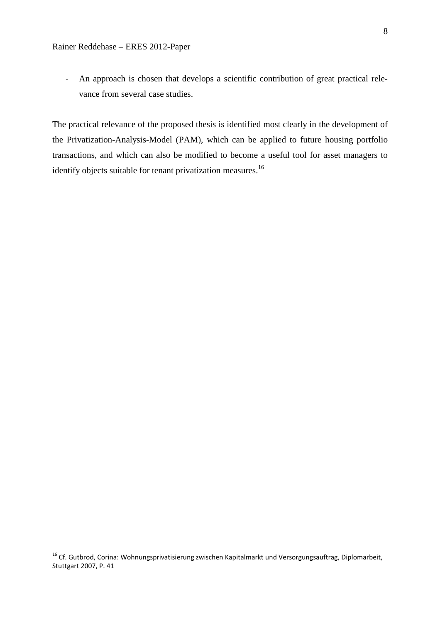$\overline{a}$ 

- An approach is chosen that develops a scientific contribution of great practical relevance from several case studies.

The practical relevance of the proposed thesis is identified most clearly in the development of the Privatization-Analysis-Model (PAM), which can be applied to future housing portfolio transactions, and which can also be modified to become a useful tool for asset managers to identify objects suitable for tenant privatization measures.<sup>16</sup>

<sup>&</sup>lt;sup>16</sup> Cf. Gutbrod, Corina: Wohnungsprivatisierung zwischen Kapitalmarkt und Versorgungsauftrag, Diplomarbeit, Stuttgart 2007, P. 41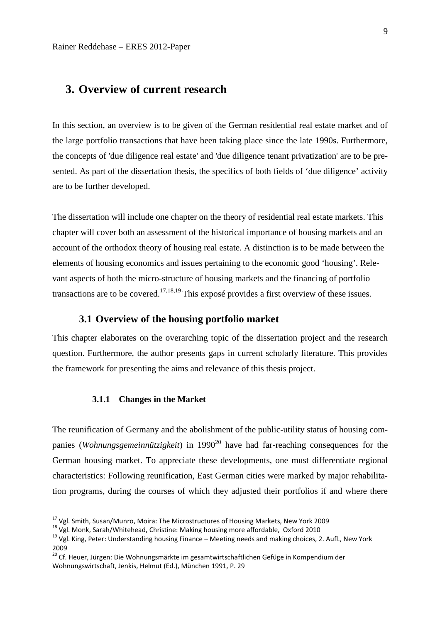## **3. Overview of current research**

In this section, an overview is to be given of the German residential real estate market and of the large portfolio transactions that have been taking place since the late 1990s. Furthermore, the concepts of 'due diligence real estate' and 'due diligence tenant privatization' are to be presented. As part of the dissertation thesis, the specifics of both fields of 'due diligence' activity are to be further developed.

The dissertation will include one chapter on the theory of residential real estate markets. This chapter will cover both an assessment of the historical importance of housing markets and an account of the orthodox theory of housing real estate. A distinction is to be made between the elements of housing economics and issues pertaining to the economic good 'housing'. Relevant aspects of both the micro-structure of housing markets and the financing of portfolio transactions are to be covered.<sup>17,18,19</sup> This exposé provides a first overview of these issues.

#### **3.1 Overview of the housing portfolio market**

This chapter elaborates on the overarching topic of the dissertation project and the research question. Furthermore, the author presents gaps in current scholarly literature. This provides the framework for presenting the aims and relevance of this thesis project.

#### **3.1.1 Changes in the Market**

 $\overline{a}$ 

The reunification of Germany and the abolishment of the public-utility status of housing companies (*Wohnungsgemeinnützigkeit*) in 1990<sup>20</sup> have had far-reaching consequences for the German housing market. To appreciate these developments, one must differentiate regional characteristics: Following reunification, East German cities were marked by major rehabilitation programs, during the courses of which they adjusted their portfolios if and where there

<sup>&</sup>lt;sup>17</sup> Vgl. Smith, Susan/Munro, Moira: The Microstructures of Housing Markets, New York 2009

<sup>&</sup>lt;sup>18</sup> Vgl. Monk, Sarah/Whitehead, Christine: Making housing more affordable, Oxford 2010

<sup>&</sup>lt;sup>19</sup> Vgl. King, Peter: Understanding housing Finance – Meeting needs and making choices, 2. Aufl., New York 2009

<sup>&</sup>lt;sup>20</sup> Cf. Heuer, Jürgen: Die Wohnungsmärkte im gesamtwirtschaftlichen Gefüge in Kompendium der Wohnungswirtschaft, Jenkis, Helmut (Ed.), München 1991, P. 29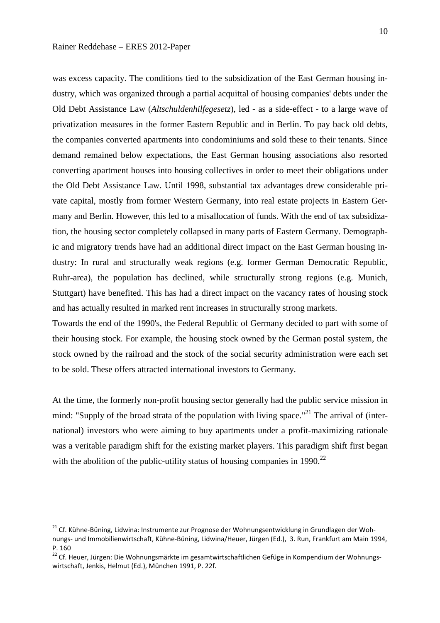$\overline{a}$ 

was excess capacity. The conditions tied to the subsidization of the East German housing industry, which was organized through a partial acquittal of housing companies' debts under the Old Debt Assistance Law (*Altschuldenhilfegesetz*), led - as a side-effect - to a large wave of privatization measures in the former Eastern Republic and in Berlin. To pay back old debts, the companies converted apartments into condominiums and sold these to their tenants. Since demand remained below expectations, the East German housing associations also resorted converting apartment houses into housing collectives in order to meet their obligations under the Old Debt Assistance Law. Until 1998, substantial tax advantages drew considerable private capital, mostly from former Western Germany, into real estate projects in Eastern Germany and Berlin. However, this led to a misallocation of funds. With the end of tax subsidization, the housing sector completely collapsed in many parts of Eastern Germany. Demographic and migratory trends have had an additional direct impact on the East German housing industry: In rural and structurally weak regions (e.g. former German Democratic Republic, Ruhr-area), the population has declined, while structurally strong regions (e.g. Munich, Stuttgart) have benefited. This has had a direct impact on the vacancy rates of housing stock and has actually resulted in marked rent increases in structurally strong markets.

Towards the end of the 1990's, the Federal Republic of Germany decided to part with some of their housing stock. For example, the housing stock owned by the German postal system, the stock owned by the railroad and the stock of the social security administration were each set to be sold. These offers attracted international investors to Germany.

At the time, the formerly non-profit housing sector generally had the public service mission in mind: "Supply of the broad strata of the population with living space."<sup>21</sup> The arrival of (international) investors who were aiming to buy apartments under a profit-maximizing rationale was a veritable paradigm shift for the existing market players. This paradigm shift first began with the abolition of the public-utility status of housing companies in  $1990.<sup>22</sup>$ 

<sup>&</sup>lt;sup>21</sup> Cf. Kühne-Büning, Lidwina: Instrumente zur Prognose der Wohnungsentwicklung in Grundlagen der Wohnungs- und Immobilienwirtschaft, Kühne-Büning, Lidwina/Heuer, Jürgen (Ed.), 3. Run, Frankfurt am Main 1994, P. 160

<sup>&</sup>lt;sup>22</sup> Cf. Heuer, Jürgen: Die Wohnungsmärkte im gesamtwirtschaftlichen Gefüge in Kompendium der Wohnungswirtschaft, Jenkis, Helmut (Ed.), München 1991, P. 22f.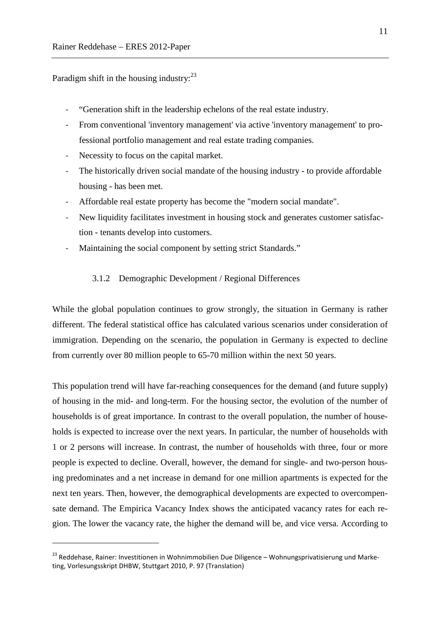Paradigm shift in the housing industry: $^{23}$ 

 $\overline{a}$ 

- "Generation shift in the leadership echelons of the real estate industry.
- From conventional 'inventory management' via active 'inventory management' to professional portfolio management and real estate trading companies.
- Necessity to focus on the capital market.
- The historically driven social mandate of the housing industry to provide affordable housing - has been met.
- Affordable real estate property has become the "modern social mandate".
- New liquidity facilitates investment in housing stock and generates customer satisfaction - tenants develop into customers.
- Maintaining the social component by setting strict Standards."

#### 3.1.2 Demographic Development / Regional Differences

While the global population continues to grow strongly, the situation in Germany is rather different. The federal statistical office has calculated various scenarios under consideration of immigration. Depending on the scenario, the population in Germany is expected to decline from currently over 80 million people to 65-70 million within the next 50 years.

This population trend will have far-reaching consequences for the demand (and future supply) of housing in the mid- and long-term. For the housing sector, the evolution of the number of households is of great importance. In contrast to the overall population, the number of households is expected to increase over the next years. In particular, the number of households with 1 or 2 persons will increase. In contrast, the number of households with three, four or more people is expected to decline. Overall, however, the demand for single- and two-person housing predominates and a net increase in demand for one million apartments is expected for the next ten years. Then, however, the demographical developments are expected to overcompensate demand. The Empirica Vacancy Index shows the anticipated vacancy rates for each region. The lower the vacancy rate, the higher the demand will be, and vice versa. According to

<sup>&</sup>lt;sup>23</sup> Reddehase, Rainer: Investitionen in Wohnimmobilien Due Diligence – Wohnungsprivatisierung und Marketing, Vorlesungsskript DHBW, Stuttgart 2010, P. 97 (Translation)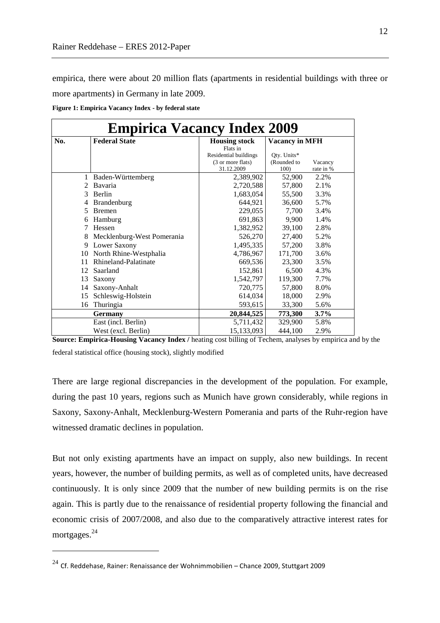empirica, there were about 20 million flats (apartments in residential buildings with three or more apartments) in Germany in late 2009.

**Figure 1: Empirica Vacancy Index - by federal state**

| <b>Empirica Vacancy Index 2009</b> |                            |                       |                       |           |  |
|------------------------------------|----------------------------|-----------------------|-----------------------|-----------|--|
| No.                                | <b>Federal State</b>       | <b>Housing stock</b>  | <b>Vacancy in MFH</b> |           |  |
|                                    |                            | Flats in              |                       |           |  |
|                                    |                            | Residential buildings | Oty. Units*           |           |  |
|                                    |                            | (3 or more flats)     | (Rounded to           | Vacancy   |  |
|                                    |                            | 31.12.2009            | 100)                  | rate in % |  |
| 1                                  | Baden-Württemberg          | 2,389,902             | 52,900                | 2.2%      |  |
| $\mathfrak{D}$                     | Bavaria                    | 2,720,588             | 57,800                | 2.1%      |  |
| 3                                  | Berlin                     | 1,683,054             | 55,500                | 3.3%      |  |
| 4                                  | <b>Brandenburg</b>         | 644,921               | 36,600                | 5.7%      |  |
| 5                                  | <b>Bremen</b>              | 229,055               | 7,700                 | 3.4%      |  |
| 6                                  | Hamburg                    | 691,863               | 9,900                 | 1.4%      |  |
| 7                                  | Hessen                     | 1,382,952             | 39,100                | 2.8%      |  |
| 8                                  | Mecklenburg-West Pomerania | 526,270               | 27,400                | 5.2%      |  |
| 9                                  | Lower Saxony               | 1,495,335             | 57,200                | 3.8%      |  |
| 10                                 | North Rhine-Westphalia     | 4,786,967             | 171,700               | 3.6%      |  |
| 11                                 | Rhineland-Palatinate       | 669,536               | 23,300                | 3.5%      |  |
| 12                                 | Saarland                   | 152,861               | 6,500                 | 4.3%      |  |
| 13                                 | Saxony                     | 1,542,797             | 119,300               | 7.7%      |  |
| 14                                 | Saxony-Anhalt              | 720,775               | 57,800                | 8.0%      |  |
| 15                                 | Schleswig-Holstein         | 614,034               | 18,000                | 2.9%      |  |
| 16                                 | Thuringia                  | 593,615               | 33,300                | 5.6%      |  |
|                                    | Germany                    | 20,844,525            | 773,300               | 3.7%      |  |
|                                    | East (incl. Berlin)        | 5,711,432             | 329,900               | 5.8%      |  |
|                                    | West (excl. Berlin)        | 15,133,093            | 444,100               | 2.9%      |  |

**Source: Empirica-Housing Vacancy Index / heating cost billing of Techem, analyses by empirica and by the** federal statistical office (housing stock), slightly modified

There are large regional discrepancies in the development of the population. For example, during the past 10 years, regions such as Munich have grown considerably, while regions in Saxony, Saxony-Anhalt, Mecklenburg-Western Pomerania and parts of the Ruhr-region have witnessed dramatic declines in population.

But not only existing apartments have an impact on supply, also new buildings. In recent years, however, the number of building permits, as well as of completed units, have decreased continuously. It is only since 2009 that the number of new building permits is on the rise again. This is partly due to the renaissance of residential property following the financial and economic crisis of 2007/2008, and also due to the comparatively attractive interest rates for mortgages.<sup>24</sup>

 $\overline{a}$ 

 $24$  Cf. Reddehase. Rainer: Renaissance der Wohnimmobilien – Chance 2009, Stuttgart 2009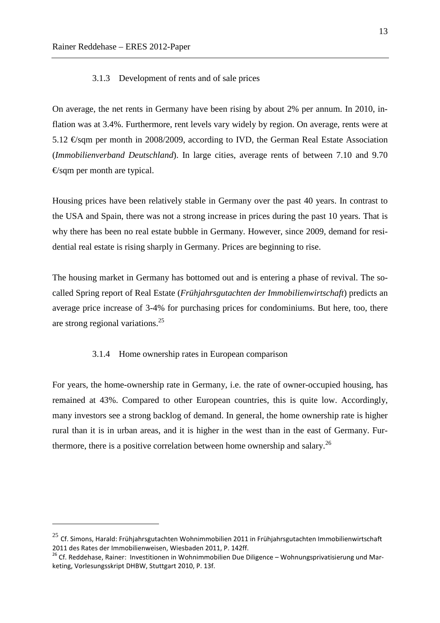$\overline{a}$ 

#### 3.1.3 Development of rents and of sale prices

On average, the net rents in Germany have been rising by about 2% per annum. In 2010, inflation was at 3.4%. Furthermore, rent levels vary widely by region. On average, rents were at 5.12 €/sqm per month in 2008/2009, according to IVD, the German Real Estate Association (*Immobilienverband Deutschland*). In large cities, average rents of between 7.10 and 9.70  $\epsilon$ /sqm per month are typical.

Housing prices have been relatively stable in Germany over the past 40 years. In contrast to the USA and Spain, there was not a strong increase in prices during the past 10 years. That is why there has been no real estate bubble in Germany. However, since 2009, demand for residential real estate is rising sharply in Germany. Prices are beginning to rise.

The housing market in Germany has bottomed out and is entering a phase of revival. The socalled Spring report of Real Estate (*Frühjahrsgutachten der Immobilienwirtschaft*) predicts an average price increase of 3-4% for purchasing prices for condominiums. But here, too, there are strong regional variations.<sup>25</sup>

#### 3.1.4 Home ownership rates in European comparison

For years, the home-ownership rate in Germany, i.e. the rate of owner-occupied housing, has remained at 43%. Compared to other European countries, this is quite low. Accordingly, many investors see a strong backlog of demand. In general, the home ownership rate is higher rural than it is in urban areas, and it is higher in the west than in the east of Germany. Furthermore, there is a positive correlation between home ownership and salary.<sup>26</sup>

 $^{25}$  Cf. Simons, Harald: Frühjahrsgutachten Wohnimmobilien 2011 in Frühjahrsgutachten Immobilienwirtschaft 2011 des Rates der Immobilienweisen, Wiesbaden 2011, P. 142ff.

<sup>&</sup>lt;sup>26</sup> Cf. Reddehase, Rainer: Investitionen in Wohnimmobilien Due Diligence – Wohnungsprivatisierung und Marketing, Vorlesungsskript DHBW, Stuttgart 2010, P. 13f.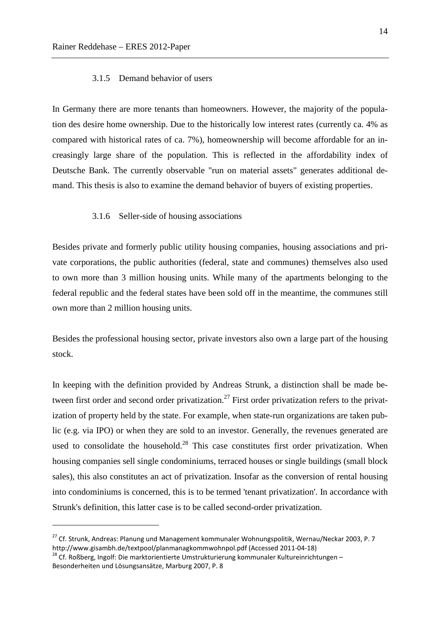#### 3.1.5 Demand behavior of users

In Germany there are more tenants than homeowners. However, the majority of the population des desire home ownership. Due to the historically low interest rates (currently ca. 4% as compared with historical rates of ca. 7%), homeownership will become affordable for an increasingly large share of the population. This is reflected in the affordability index of Deutsche Bank. The currently observable "run on material assets" generates additional demand. This thesis is also to examine the demand behavior of buyers of existing properties.

#### 3.1.6 Seller-side of housing associations

Besides private and formerly public utility housing companies, housing associations and private corporations, the public authorities (federal, state and communes) themselves also used to own more than 3 million housing units. While many of the apartments belonging to the federal republic and the federal states have been sold off in the meantime, the communes still own more than 2 million housing units.

Besides the professional housing sector, private investors also own a large part of the housing stock.

In keeping with the definition provided by Andreas Strunk, a distinction shall be made between first order and second order privatization.<sup>27</sup> First order privatization refers to the privatization of property held by the state. For example, when state-run organizations are taken public (e.g. via IPO) or when they are sold to an investor. Generally, the revenues generated are used to consolidate the household.<sup>28</sup> This case constitutes first order privatization. When housing companies sell single condominiums, terraced houses or single buildings (small block sales), this also constitutes an act of privatization. Insofar as the conversion of rental housing into condominiums is concerned, this is to be termed 'tenant privatization'. In accordance with Strunk's definition, this latter case is to be called second-order privatization.

 $\overline{a}$ 

<sup>&</sup>lt;sup>27</sup> Cf. Strunk, Andreas: Planung und Management kommunaler Wohnungspolitik, Wernau/Neckar 2003, P. 7 http://www.gisambh.de/textpool/planmanagkommwohnpol.pdf (Accessed 2011-04-18)

 $28$  Cf. Roßberg, Ingolf: Die marktorientierte Umstrukturierung kommunaler Kultureinrichtungen – Besonderheiten und Lösungsansätze, Marburg 2007, P. 8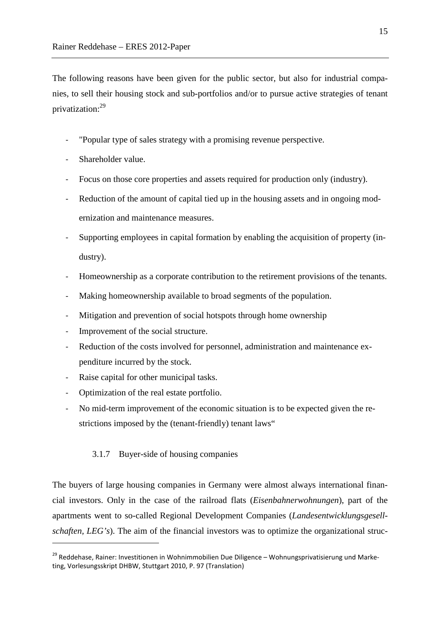The following reasons have been given for the public sector, but also for industrial companies, to sell their housing stock and sub-portfolios and/or to pursue active strategies of tenant privatization:<sup>29</sup>

- "Popular type of sales strategy with a promising revenue perspective.
- Shareholder value.
- Focus on those core properties and assets required for production only (industry).
- Reduction of the amount of capital tied up in the housing assets and in ongoing modernization and maintenance measures.
- Supporting employees in capital formation by enabling the acquisition of property (industry).
- Homeownership as a corporate contribution to the retirement provisions of the tenants.
- Making homeownership available to broad segments of the population.
- Mitigation and prevention of social hotspots through home ownership
- Improvement of the social structure.
- Reduction of the costs involved for personnel, administration and maintenance expenditure incurred by the stock.
- Raise capital for other municipal tasks.
- Optimization of the real estate portfolio.

 $\overline{a}$ 

- No mid-term improvement of the economic situation is to be expected given the restrictions imposed by the (tenant-friendly) tenant laws"

#### 3.1.7 Buyer-side of housing companies

The buyers of large housing companies in Germany were almost always international financial investors. Only in the case of the railroad flats (*Eisenbahnerwohnungen*), part of the apartments went to so-called Regional Development Companies (*Landesentwicklungsgesellschaften, LEG's*). The aim of the financial investors was to optimize the organizational struc-

<sup>&</sup>lt;sup>29</sup> Reddehase, Rainer: Investitionen in Wohnimmobilien Due Diligence – Wohnungsprivatisierung und Marketing, Vorlesungsskript DHBW, Stuttgart 2010, P. 97 (Translation)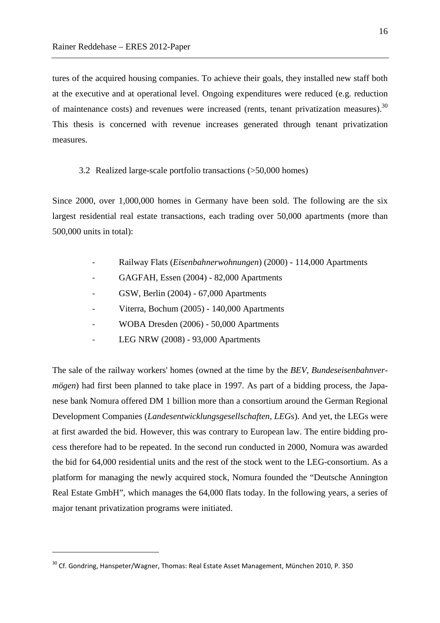tures of the acquired housing companies. To achieve their goals, they installed new staff both at the executive and at operational level. Ongoing expenditures were reduced (e.g. reduction of maintenance costs) and revenues were increased (rents, tenant privatization measures).<sup>30</sup> This thesis is concerned with revenue increases generated through tenant privatization measures.

#### 3.2 Realized large-scale portfolio transactions (>50,000 homes)

Since 2000, over 1,000,000 homes in Germany have been sold. The following are the six largest residential real estate transactions, each trading over 50,000 apartments (more than 500,000 units in total):

- Railway Flats (*Eisenbahnerwohnungen*) (2000) 114,000 Apartments
- GAGFAH, Essen (2004) 82,000 Apartments
- GSW, Berlin (2004) 67,000 Apartments
- Viterra, Bochum (2005) 140,000 Apartments
- WOBA Dresden (2006) 50,000 Apartments
- LEG NRW (2008) 93,000 Apartments

The sale of the railway workers' homes (owned at the time by the *BEV, Bundeseisenbahnvermögen*) had first been planned to take place in 1997. As part of a bidding process, the Japanese bank Nomura offered DM 1 billion more than a consortium around the German Regional Development Companies (*Landesentwicklungsgesellschaften*, *LEG*s). And yet, the LEGs were at first awarded the bid. However, this was contrary to European law. The entire bidding process therefore had to be repeated. In the second run conducted in 2000, Nomura was awarded the bid for 64,000 residential units and the rest of the stock went to the LEG-consortium. As a platform for managing the newly acquired stock, Nomura founded the "Deutsche Annington Real Estate GmbH", which manages the 64,000 flats today. In the following years, a series of major tenant privatization programs were initiated.

 $\overline{a}$ 

 $30$  Cf. Gondring, Hanspeter/Wagner, Thomas: Real Estate Asset Management, München 2010, P. 350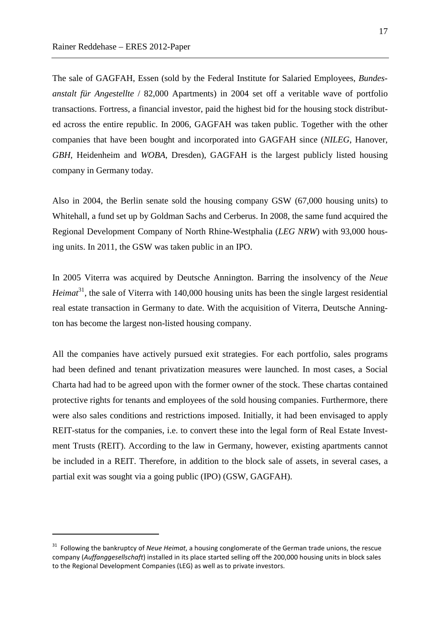$\overline{a}$ 

The sale of GAGFAH, Essen (sold by the Federal Institute for Salaried Employees, *Bundesanstalt für Angestellte* / 82,000 Apartments) in 2004 set off a veritable wave of portfolio transactions. Fortress, a financial investor, paid the highest bid for the housing stock distributed across the entire republic. In 2006, GAGFAH was taken public. Together with the other companies that have been bought and incorporated into GAGFAH since (*NILEG*, Hanover, *GBH*, Heidenheim and *WOBA*, Dresden), GAGFAH is the largest publicly listed housing company in Germany today.

Also in 2004, the Berlin senate sold the housing company GSW (67,000 housing units) to Whitehall, a fund set up by Goldman Sachs and Cerberus. In 2008, the same fund acquired the Regional Development Company of North Rhine-Westphalia (*LEG NRW*) with 93,000 housing units. In 2011, the GSW was taken public in an IPO.

In 2005 Viterra was acquired by Deutsche Annington. Barring the insolvency of the *Neue Heimat*<sup>31</sup>, the sale of Viterra with 140,000 housing units has been the single largest residential real estate transaction in Germany to date. With the acquisition of Viterra, Deutsche Annington has become the largest non-listed housing company.

All the companies have actively pursued exit strategies. For each portfolio, sales programs had been defined and tenant privatization measures were launched. In most cases, a Social Charta had had to be agreed upon with the former owner of the stock. These chartas contained protective rights for tenants and employees of the sold housing companies. Furthermore, there were also sales conditions and restrictions imposed. Initially, it had been envisaged to apply REIT-status for the companies, i.e. to convert these into the legal form of Real Estate Investment Trusts (REIT). According to the law in Germany, however, existing apartments cannot be included in a REIT. Therefore, in addition to the block sale of assets, in several cases, a partial exit was sought via a going public (IPO) (GSW, GAGFAH).

<sup>31</sup> Following the bankruptcy of *Neue Heimat*, a housing conglomerate of the German trade unions, the rescue company (*Auffanggesellschaft*) installed in its place started selling off the 200,000 housing units in block sales to the Regional Development Companies (LEG) as well as to private investors.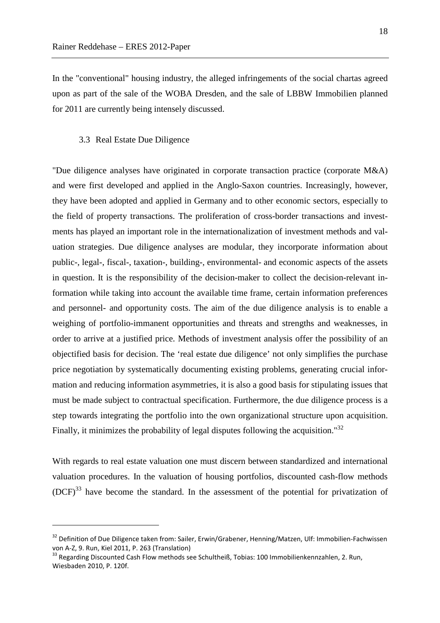In the "conventional" housing industry, the alleged infringements of the social chartas agreed upon as part of the sale of the WOBA Dresden, and the sale of LBBW Immobilien planned for 2011 are currently being intensely discussed.

#### 3.3 Real Estate Due Diligence

 $\overline{a}$ 

"Due diligence analyses have originated in corporate transaction practice (corporate M&A) and were first developed and applied in the Anglo-Saxon countries. Increasingly, however, they have been adopted and applied in Germany and to other economic sectors, especially to the field of property transactions. The proliferation of cross-border transactions and investments has played an important role in the internationalization of investment methods and valuation strategies. Due diligence analyses are modular, they incorporate information about public-, legal-, fiscal-, taxation-, building-, environmental- and economic aspects of the assets in question. It is the responsibility of the decision-maker to collect the decision-relevant information while taking into account the available time frame, certain information preferences and personnel- and opportunity costs. The aim of the due diligence analysis is to enable a weighing of portfolio-immanent opportunities and threats and strengths and weaknesses, in order to arrive at a justified price. Methods of investment analysis offer the possibility of an objectified basis for decision. The 'real estate due diligence' not only simplifies the purchase price negotiation by systematically documenting existing problems, generating crucial information and reducing information asymmetries, it is also a good basis for stipulating issues that must be made subject to contractual specification. Furthermore, the due diligence process is a step towards integrating the portfolio into the own organizational structure upon acquisition. Finally, it minimizes the probability of legal disputes following the acquisition."<sup>32</sup>

With regards to real estate valuation one must discern between standardized and international valuation procedures. In the valuation of housing portfolios, discounted cash-flow methods  $(DCF)^{33}$  have become the standard. In the assessment of the potential for privatization of

<sup>&</sup>lt;sup>32</sup> Definition of Due Diligence taken from: Sailer, Erwin/Grabener, Henning/Matzen, Ulf: Immobilien-Fachwissen von A-Z, 9. Run, Kiel 2011, P. 263 (Translation)

<sup>&</sup>lt;sup>33</sup> Regarding Discounted Cash Flow methods see Schultheiß, Tobias: 100 Immobilienkennzahlen, 2. Run, Wiesbaden 2010, P. 120f.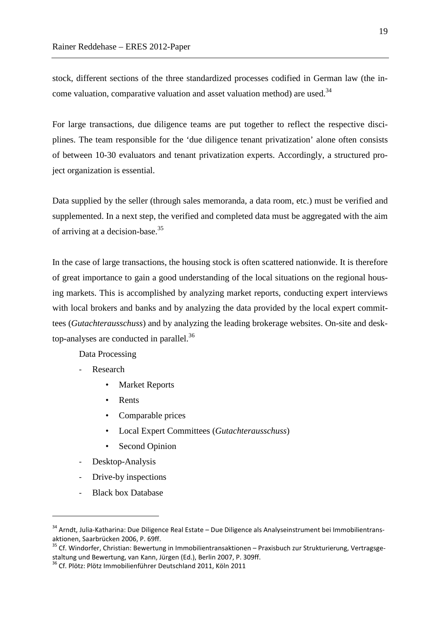stock, different sections of the three standardized processes codified in German law (the income valuation, comparative valuation and asset valuation method) are used.<sup>34</sup>

For large transactions, due diligence teams are put together to reflect the respective disciplines. The team responsible for the 'due diligence tenant privatization' alone often consists of between 10-30 evaluators and tenant privatization experts. Accordingly, a structured project organization is essential.

Data supplied by the seller (through sales memoranda, a data room, etc.) must be verified and supplemented. In a next step, the verified and completed data must be aggregated with the aim of arriving at a decision-base.<sup>35</sup>

In the case of large transactions, the housing stock is often scattered nationwide. It is therefore of great importance to gain a good understanding of the local situations on the regional housing markets. This is accomplished by analyzing market reports, conducting expert interviews with local brokers and banks and by analyzing the data provided by the local expert committees (*Gutachterausschuss*) and by analyzing the leading brokerage websites. On-site and desktop-analyses are conducted in parallel. $36$ 

Data Processing

- Research
	- **Market Reports**
	- Rents
	- Comparable prices
	- Local Expert Committees (*Gutachterausschuss*)
	- Second Opinion
- Desktop-Analysis
- Drive-by inspections
- Black box Database

 $\overline{a}$ 

<sup>34</sup> Arndt, Julia-Katharina: Due Diligence Real Estate – Due Diligence als Analyseinstrument bei Immobilientransaktionen, Saarbrücken 2006, P. 69ff.

<sup>&</sup>lt;sup>35</sup> Cf. Windorfer, Christian: Bewertung in Immobilientransaktionen – Praxisbuch zur Strukturierung, Vertragsgestaltung und Bewertung, van Kann, Jürgen (Ed.), Berlin 2007, P. 309ff.

<sup>36</sup> Cf. Plötz: Plötz Immobilienführer Deutschland 2011, Köln 2011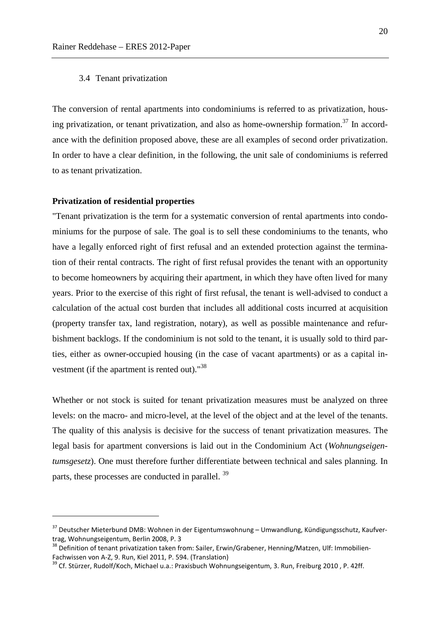#### 3.4 Tenant privatization

The conversion of rental apartments into condominiums is referred to as privatization, housing privatization, or tenant privatization, and also as home-ownership formation.<sup>37</sup> In accordance with the definition proposed above, these are all examples of second order privatization. In order to have a clear definition, in the following, the unit sale of condominiums is referred to as tenant privatization.

#### **Privatization of residential properties**

 $\overline{a}$ 

"Tenant privatization is the term for a systematic conversion of rental apartments into condominiums for the purpose of sale. The goal is to sell these condominiums to the tenants, who have a legally enforced right of first refusal and an extended protection against the termination of their rental contracts. The right of first refusal provides the tenant with an opportunity to become homeowners by acquiring their apartment, in which they have often lived for many years. Prior to the exercise of this right of first refusal, the tenant is well-advised to conduct a calculation of the actual cost burden that includes all additional costs incurred at acquisition (property transfer tax, land registration, notary), as well as possible maintenance and refurbishment backlogs. If the condominium is not sold to the tenant, it is usually sold to third parties, either as owner-occupied housing (in the case of vacant apartments) or as a capital investment (if the apartment is rented out)."<sup>38</sup>

Whether or not stock is suited for tenant privatization measures must be analyzed on three levels: on the macro- and micro-level, at the level of the object and at the level of the tenants. The quality of this analysis is decisive for the success of tenant privatization measures. The legal basis for apartment conversions is laid out in the Condominium Act (*Wohnungseigentumsgesetz*). One must therefore further differentiate between technical and sales planning. In parts, these processes are conducted in parallel. <sup>39</sup>

<sup>&</sup>lt;sup>37</sup> Deutscher Mieterbund DMB: Wohnen in der Eigentumswohnung – Umwandlung, Kündigungsschutz, Kaufvertrag, Wohnungseigentum, Berlin 2008, P. 3

<sup>&</sup>lt;sup>38</sup> Definition of tenant privatization taken from: Sailer, Erwin/Grabener, Henning/Matzen, Ulf: Immobilien-Fachwissen von A-Z, 9. Run, Kiel 2011, P. 594. (Translation)

<sup>&</sup>lt;sup>39</sup> Cf. Stürzer, Rudolf/Koch, Michael u.a.: Praxisbuch Wohnungseigentum, 3. Run, Freiburg 2010, P. 42ff.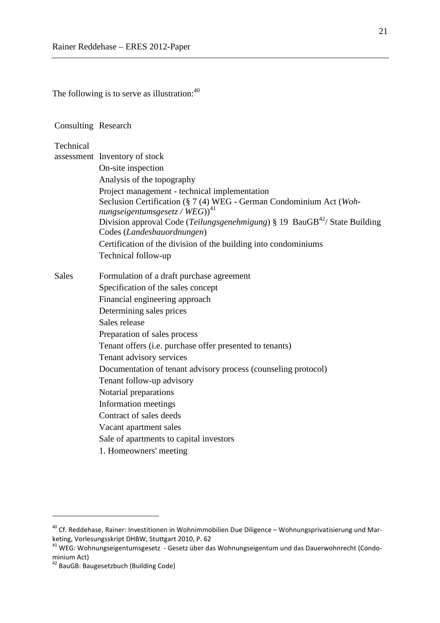The following is to serve as illustration: $40$ 

#### Consulting Research

#### Technical

assessment Inventory of stock

|              | On-site inspection                                                                       |
|--------------|------------------------------------------------------------------------------------------|
|              | Analysis of the topography                                                               |
|              | Project management - technical implementation                                            |
|              | Seclusion Certification (§ 7 (4) WEG - German Condominium Act (Woh-                      |
|              | nungseigentumsgesetz / $WEG$ ) <sup>41</sup>                                             |
|              | Division approval Code (Teilungsgenehmigung) $\S$ 19 BauGB <sup>42</sup> /State Building |
|              | Codes (Landesbauordnungen)                                                               |
|              | Certification of the division of the building into condominiums                          |
|              | Technical follow-up                                                                      |
| <b>Sales</b> | Formulation of a draft purchase agreement                                                |
|              | Specification of the sales concept                                                       |
|              | Financial engineering approach                                                           |
|              | Determining sales prices                                                                 |
|              | Sales release                                                                            |
|              | Preparation of sales process                                                             |
|              | Tenant offers (i.e. purchase offer presented to tenants)                                 |
|              | Tenant advisory services                                                                 |
|              | Documentation of tenant advisory process (counseling protocol)                           |
|              | Tenant follow-up advisory                                                                |
|              | Notarial preparations                                                                    |
|              | Information meetings                                                                     |
|              | Contract of sales deeds                                                                  |
|              | Vacant apartment sales                                                                   |
|              | Sale of apartments to capital investors                                                  |
|              | 1. Homeowners' meeting                                                                   |
|              |                                                                                          |

 $\overline{a}$ 

 $40$  Cf. Reddehase, Rainer: Investitionen in Wohnimmobilien Due Diligence – Wohnungsprivatisierung und Marketing, Vorlesungsskript DHBW, Stuttgart 2010, P. 62

<sup>41</sup> WEG: Wohnungseigentumsgesetz - Gesetz über das Wohnungseigentum und das Dauerwohnrecht (Condominium Act)

<sup>&</sup>lt;sup>42</sup> BauGB: Baugesetzbuch (Building Code)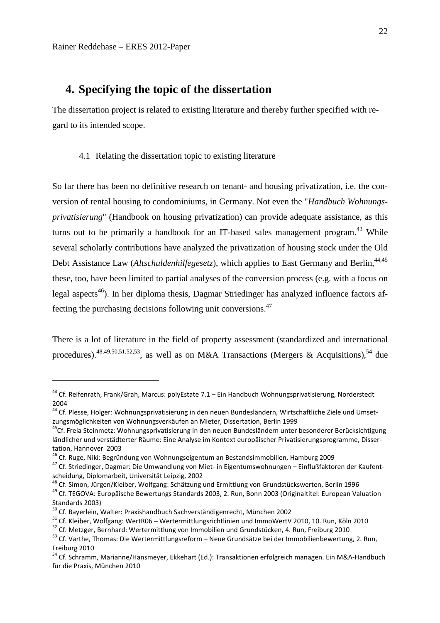$\overline{a}$ 

## **4. Specifying the topic of the dissertation**

The dissertation project is related to existing literature and thereby further specified with regard to its intended scope.

#### 4.1 Relating the dissertation topic to existing literature

So far there has been no definitive research on tenant- and housing privatization, i.e. the conversion of rental housing to condominiums, in Germany. Not even the "*Handbuch Wohnungsprivatisierung*" (Handbook on housing privatization) can provide adequate assistance, as this turns out to be primarily a handbook for an IT-based sales management program.<sup>43</sup> While several scholarly contributions have analyzed the privatization of housing stock under the Old Debt Assistance Law (*Altschuldenhilfegesetz*), which applies to East Germany and Berlin,<sup>44,45</sup> these, too, have been limited to partial analyses of the conversion process (e.g. with a focus on legal aspects<sup>46</sup>). In her diploma thesis, Dagmar Striedinger has analyzed influence factors affecting the purchasing decisions following unit conversions.<sup>47</sup>

There is a lot of literature in the field of property assessment (standardized and international procedures).<sup>48,49,50,51,52,53</sup>, as well as on M&A Transactions (Mergers & Acquisitions).<sup>54</sup> due

<sup>43</sup> Cf. Reifenrath, Frank/Grah, Marcus: polyEstate 7.1 – Ein Handbuch Wohnungsprivatisierung, Norderstedt 2004

<sup>44</sup> Cf. Plesse, Holger: Wohnungsprivatisierung in den neuen Bundesländern, Wirtschaftliche Ziele und Umsetzungsmöglichkeiten von Wohnungsverkäufen an Mieter, Dissertation, Berlin 1999

<sup>&</sup>lt;sup>45</sup>Cf. Freia Steinmetz: Wohnungsprivatisierung in den neuen Bundesländern unter besonderer Berücksichtigung ländlicher und verstädterter Räume: Eine Analyse im Kontext europäischer Privatisierungsprogramme, Dissertation, Hannover 2003

<sup>46</sup> Cf. Ruge, Niki: Begründung von Wohnungseigentum an Bestandsimmobilien, Hamburg 2009

<sup>47</sup> Cf. Striedinger, Dagmar: Die Umwandlung von Miet- in Eigentumswohnungen – Einflußfaktoren der Kaufentscheidung, Diplomarbeit, Universität Leipzig, 2002

<sup>48</sup> Cf. Simon, Jürgen/Kleiber, Wolfgang: Schätzung und Ermittlung von Grundstückswerten, Berlin 1996

<sup>49</sup> Cf. TEGOVA: Europäische Bewertungs Standards 2003, 2. Run, Bonn 2003 (Originaltitel: European Valuation Standards 2003)

<sup>&</sup>lt;sup>50</sup> Cf. Bayerlein, Walter: Praxishandbuch Sachverständigenrecht, München 2002

<sup>51</sup> Cf. Kleiber, Wolfgang: WertR06 – Wertermittlungsrichtlinien und ImmoWertV 2010, 10. Run, Köln 2010

<sup>52</sup> Cf. Metzger, Bernhard: Wertermittlung von Immobilien und Grundstücken, 4. Run, Freiburg 2010

<sup>53</sup> Cf. Varthe, Thomas: Die Wertermittlungsreform – Neue Grundsätze bei der Immobilienbewertung, 2. Run, Freiburg 2010

<sup>54</sup> Cf. Schramm, Marianne/Hansmeyer, Ekkehart (Ed.): Transaktionen erfolgreich managen. Ein M&A-Handbuch für die Praxis, München 2010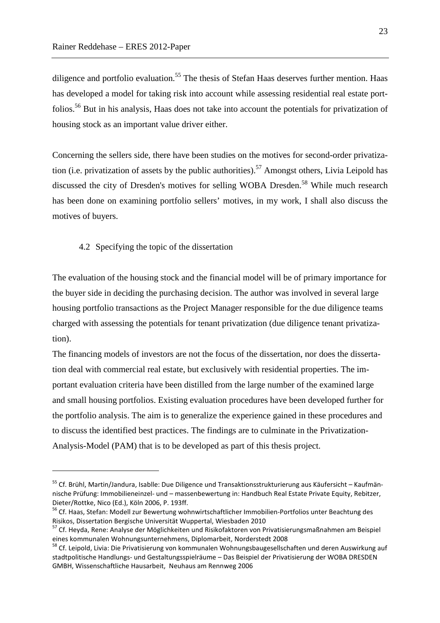diligence and portfolio evaluation.<sup>55</sup> The thesis of Stefan Haas deserves further mention. Haas has developed a model for taking risk into account while assessing residential real estate portfolios.<sup>56</sup> But in his analysis, Haas does not take into account the potentials for privatization of housing stock as an important value driver either.

Concerning the sellers side, there have been studies on the motives for second-order privatization (i.e. privatization of assets by the public authorities).<sup>57</sup> Amongst others, Livia Leipold has discussed the city of Dresden's motives for selling WOBA Dresden.<sup>58</sup> While much research has been done on examining portfolio sellers' motives, in my work, I shall also discuss the motives of buyers.

4.2 Specifying the topic of the dissertation

 $\overline{a}$ 

The evaluation of the housing stock and the financial model will be of primary importance for the buyer side in deciding the purchasing decision. The author was involved in several large housing portfolio transactions as the Project Manager responsible for the due diligence teams charged with assessing the potentials for tenant privatization (due diligence tenant privatization).

The financing models of investors are not the focus of the dissertation, nor does the dissertation deal with commercial real estate, but exclusively with residential properties. The important evaluation criteria have been distilled from the large number of the examined large and small housing portfolios. Existing evaluation procedures have been developed further for the portfolio analysis. The aim is to generalize the experience gained in these procedures and to discuss the identified best practices. The findings are to culminate in the Privatization-Analysis-Model (PAM) that is to be developed as part of this thesis project.

<sup>55</sup> Cf. Brühl, Martin/Jandura, Isablle: Due Diligence und Transaktionsstrukturierung aus Käufersicht – Kaufmännische Prüfung: Immobilieneinzel- und – massenbewertung in: Handbuch Real Estate Private Equity, Rebitzer, Dieter/Rottke, Nico (Ed.), Köln 2006, P. 193ff.

<sup>56</sup> Cf. Haas, Stefan: Modell zur Bewertung wohnwirtschaftlicher Immobilien-Portfolios unter Beachtung des Risikos, Dissertation Bergische Universität Wuppertal, Wiesbaden 2010

<sup>57</sup> Cf. Heyda, Rene: Analyse der Möglichkeiten und Risikofaktoren von Privatisierungsmaßnahmen am Beispiel eines kommunalen Wohnungsunternehmens, Diplomarbeit, Norderstedt 2008

<sup>&</sup>lt;sup>58</sup> Cf. Leipold, Livia: Die Privatisierung von kommunalen Wohnungsbaugesellschaften und deren Auswirkung auf stadtpolitische Handlungs- und Gestaltungsspielräume – Das Beispiel der Privatisierung der WOBA DRESDEN GMBH, Wissenschaftliche Hausarbeit, Neuhaus am Rennweg 2006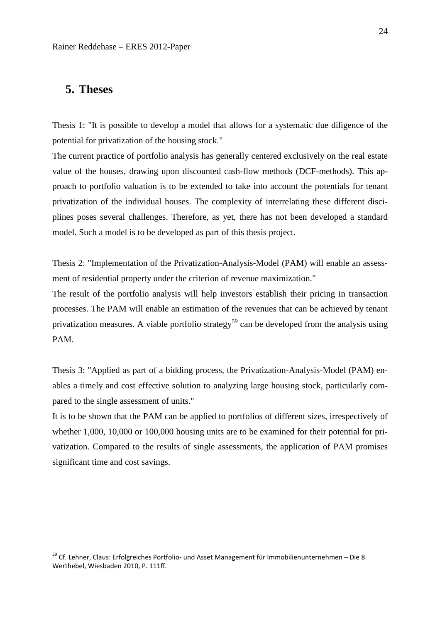## **5. Theses**

 $\overline{a}$ 

Thesis 1: "It is possible to develop a model that allows for a systematic due diligence of the potential for privatization of the housing stock."

The current practice of portfolio analysis has generally centered exclusively on the real estate value of the houses, drawing upon discounted cash-flow methods (DCF-methods). This approach to portfolio valuation is to be extended to take into account the potentials for tenant privatization of the individual houses. The complexity of interrelating these different disciplines poses several challenges. Therefore, as yet, there has not been developed a standard model. Such a model is to be developed as part of this thesis project.

Thesis 2: "Implementation of the Privatization-Analysis-Model (PAM) will enable an assessment of residential property under the criterion of revenue maximization."

The result of the portfolio analysis will help investors establish their pricing in transaction processes. The PAM will enable an estimation of the revenues that can be achieved by tenant privatization measures. A viable portfolio strategy<sup>59</sup> can be developed from the analysis using PAM.

Thesis 3: "Applied as part of a bidding process, the Privatization-Analysis-Model (PAM) enables a timely and cost effective solution to analyzing large housing stock, particularly compared to the single assessment of units."

It is to be shown that the PAM can be applied to portfolios of different sizes, irrespectively of whether 1,000, 10,000 or 100,000 housing units are to be examined for their potential for privatization. Compared to the results of single assessments, the application of PAM promises significant time and cost savings.

 $59$  Cf. Lehner, Claus: Erfolgreiches Portfolio- und Asset Management für Immobilienunternehmen – Die 8 Werthebel, Wiesbaden 2010, P. 111ff.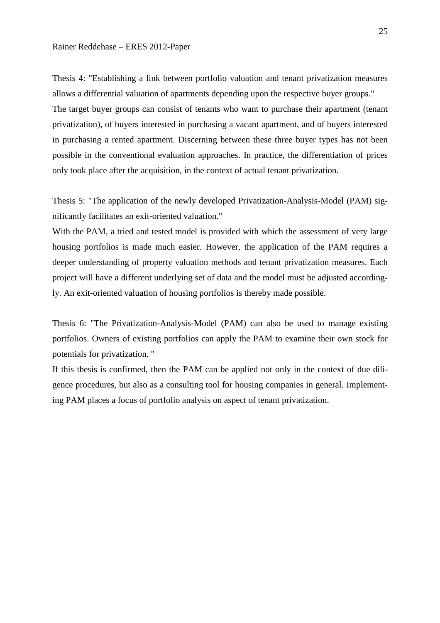Thesis 4: "Establishing a link between portfolio valuation and tenant privatization measures allows a differential valuation of apartments depending upon the respective buyer groups." The target buyer groups can consist of tenants who want to purchase their apartment (tenant privatization), of buyers interested in purchasing a vacant apartment, and of buyers interested in purchasing a rented apartment. Discerning between these three buyer types has not been possible in the conventional evaluation approaches. In practice, the differentiation of prices only took place after the acquisition, in the context of actual tenant privatization.

Thesis 5: "The application of the newly developed Privatization-Analysis-Model (PAM) significantly facilitates an exit-oriented valuation."

With the PAM, a tried and tested model is provided with which the assessment of very large housing portfolios is made much easier. However, the application of the PAM requires a deeper understanding of property valuation methods and tenant privatization measures. Each project will have a different underlying set of data and the model must be adjusted accordingly. An exit-oriented valuation of housing portfolios is thereby made possible.

Thesis 6: "The Privatization-Analysis-Model (PAM) can also be used to manage existing portfolios. Owners of existing portfolios can apply the PAM to examine their own stock for potentials for privatization. "

If this thesis is confirmed, then the PAM can be applied not only in the context of due diligence procedures, but also as a consulting tool for housing companies in general. Implementing PAM places a focus of portfolio analysis on aspect of tenant privatization.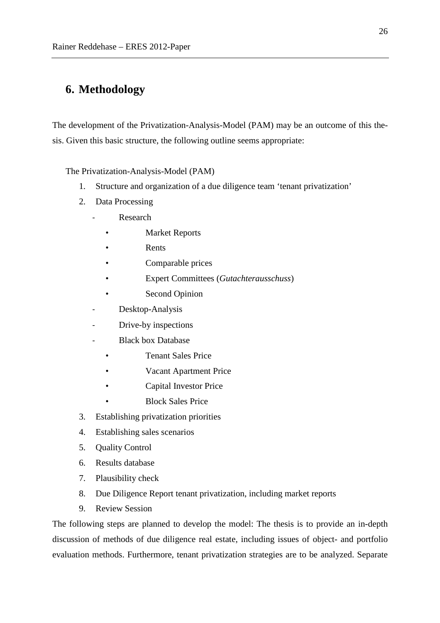## **6. Methodology**

The development of the Privatization-Analysis-Model (PAM) may be an outcome of this thesis. Given this basic structure, the following outline seems appropriate:

The Privatization-Analysis-Model (PAM)

- 1. Structure and organization of a due diligence team 'tenant privatization'
- 2. Data Processing
	- **Research** 
		- **Market Reports**
		- Rents
		- Comparable prices
		- Expert Committees (*Gutachterausschuss*)
		- Second Opinion
	- Desktop-Analysis
	- Drive-by inspections
	- Black box Database
		- Tenant Sales Price
		- Vacant Apartment Price
		- Capital Investor Price
		- Block Sales Price
- 3. Establishing privatization priorities
- 4. Establishing sales scenarios
- 5. Quality Control
- 6. Results database
- 7. Plausibility check
- 8. Due Diligence Report tenant privatization, including market reports
- 9. Review Session

The following steps are planned to develop the model: The thesis is to provide an in-depth discussion of methods of due diligence real estate, including issues of object- and portfolio evaluation methods. Furthermore, tenant privatization strategies are to be analyzed. Separate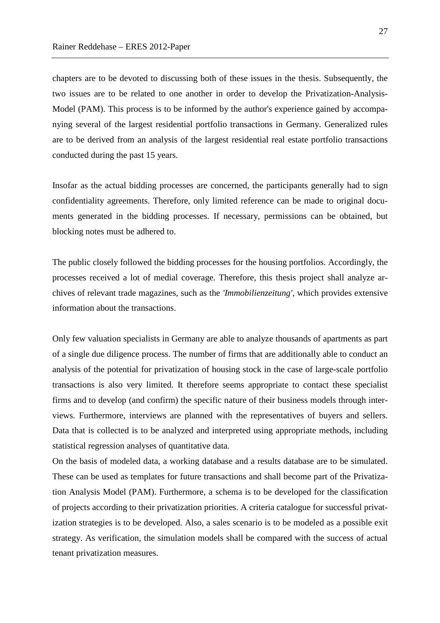chapters are to be devoted to discussing both of these issues in the thesis. Subsequently, the two issues are to be related to one another in order to develop the Privatization-Analysis-Model (PAM). This process is to be informed by the author's experience gained by accompanying several of the largest residential portfolio transactions in Germany. Generalized rules are to be derived from an analysis of the largest residential real estate portfolio transactions conducted during the past 15 years.

Insofar as the actual bidding processes are concerned, the participants generally had to sign confidentiality agreements. Therefore, only limited reference can be made to original documents generated in the bidding processes. If necessary, permissions can be obtained, but blocking notes must be adhered to.

The public closely followed the bidding processes for the housing portfolios. Accordingly, the processes received a lot of medial coverage. Therefore, this thesis project shall analyze archives of relevant trade magazines, such as the *'Immobilienzeitung'*, which provides extensive information about the transactions.

Only few valuation specialists in Germany are able to analyze thousands of apartments as part of a single due diligence process. The number of firms that are additionally able to conduct an analysis of the potential for privatization of housing stock in the case of large-scale portfolio transactions is also very limited. It therefore seems appropriate to contact these specialist firms and to develop (and confirm) the specific nature of their business models through interviews. Furthermore, interviews are planned with the representatives of buyers and sellers. Data that is collected is to be analyzed and interpreted using appropriate methods, including statistical regression analyses of quantitative data.

On the basis of modeled data, a working database and a results database are to be simulated. These can be used as templates for future transactions and shall become part of the Privatization Analysis Model (PAM). Furthermore, a schema is to be developed for the classification of projects according to their privatization priorities. A criteria catalogue for successful privatization strategies is to be developed. Also, a sales scenario is to be modeled as a possible exit strategy. As verification, the simulation models shall be compared with the success of actual tenant privatization measures.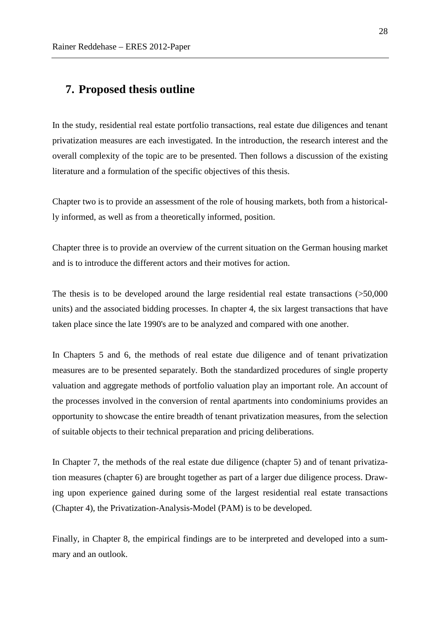## **7. Proposed thesis outline**

In the study, residential real estate portfolio transactions, real estate due diligences and tenant privatization measures are each investigated. In the introduction, the research interest and the overall complexity of the topic are to be presented. Then follows a discussion of the existing literature and a formulation of the specific objectives of this thesis.

Chapter two is to provide an assessment of the role of housing markets, both from a historically informed, as well as from a theoretically informed, position.

Chapter three is to provide an overview of the current situation on the German housing market and is to introduce the different actors and their motives for action.

The thesis is to be developed around the large residential real estate transactions (>50,000 units) and the associated bidding processes. In chapter 4, the six largest transactions that have taken place since the late 1990's are to be analyzed and compared with one another.

In Chapters 5 and 6, the methods of real estate due diligence and of tenant privatization measures are to be presented separately. Both the standardized procedures of single property valuation and aggregate methods of portfolio valuation play an important role. An account of the processes involved in the conversion of rental apartments into condominiums provides an opportunity to showcase the entire breadth of tenant privatization measures, from the selection of suitable objects to their technical preparation and pricing deliberations.

In Chapter 7, the methods of the real estate due diligence (chapter 5) and of tenant privatization measures (chapter 6) are brought together as part of a larger due diligence process. Drawing upon experience gained during some of the largest residential real estate transactions (Chapter 4), the Privatization-Analysis-Model (PAM) is to be developed.

Finally, in Chapter 8, the empirical findings are to be interpreted and developed into a summary and an outlook.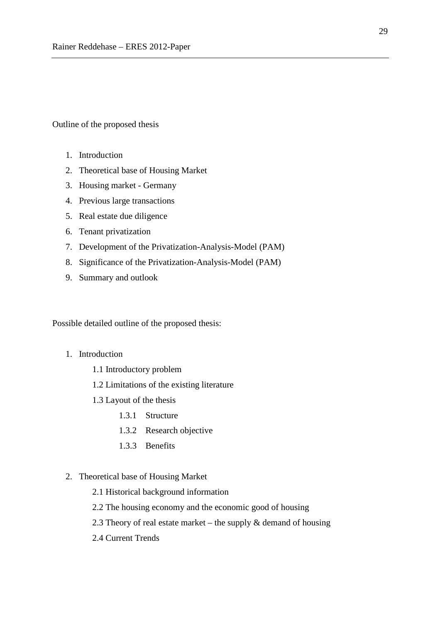Outline of the proposed thesis

- 1. Introduction
- 2. Theoretical base of Housing Market
- 3. Housing market Germany
- 4. Previous large transactions
- 5. Real estate due diligence
- 6. Tenant privatization
- 7. Development of the Privatization-Analysis-Model (PAM)
- 8. Significance of the Privatization-Analysis-Model (PAM)
- 9. Summary and outlook

Possible detailed outline of the proposed thesis:

- 1. Introduction
	- 1.1 Introductory problem
	- 1.2 Limitations of the existing literature
	- 1.3 Layout of the thesis
		- 1.3.1 Structure
		- 1.3.2 Research objective
		- 1.3.3 Benefits
- 2. Theoretical base of Housing Market
	- 2.1 Historical background information
	- 2.2 The housing economy and the economic good of housing
	- 2.3 Theory of real estate market the supply  $\&$  demand of housing
	- 2.4 Current Trends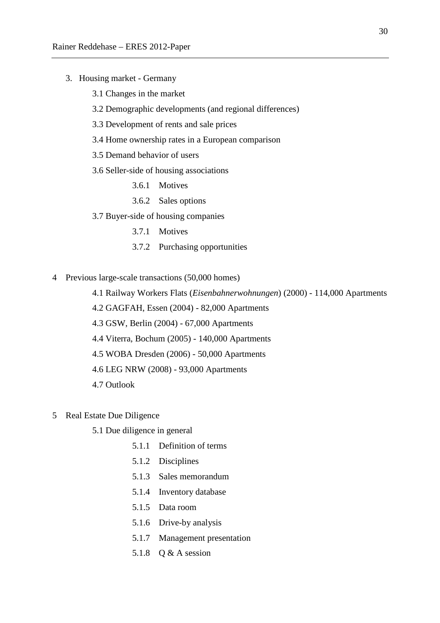- 3. Housing market Germany
	- 3.1 Changes in the market
	- 3.2 Demographic developments (and regional differences)
	- 3.3 Development of rents and sale prices
	- 3.4 Home ownership rates in a European comparison
	- 3.5 Demand behavior of users
	- 3.6 Seller-side of housing associations
		- 3.6.1 Motives
		- 3.6.2 Sales options
	- 3.7 Buyer-side of housing companies
		- 3.7.1 Motives
		- 3.7.2 Purchasing opportunities
- 4 Previous large-scale transactions (50,000 homes)
	- 4.1 Railway Workers Flats (*Eisenbahnerwohnungen*) (2000) 114,000 Apartments
	- 4.2 GAGFAH, Essen (2004) 82,000 Apartments
	- 4.3 GSW, Berlin (2004) 67,000 Apartments
	- 4.4 Viterra, Bochum (2005) 140,000 Apartments
	- 4.5 WOBA Dresden (2006) 50,000 Apartments
	- 4.6 LEG NRW (2008) 93,000 Apartments
	- 4.7 Outlook
- 5 Real Estate Due Diligence
	- 5.1 Due diligence in general
		- 5.1.1 Definition of terms
		- 5.1.2 Disciplines
		- 5.1.3 Sales memorandum
		- 5.1.4 Inventory database
		- 5.1.5 Data room
		- 5.1.6 Drive-by analysis
		- 5.1.7 Management presentation
		- 5.1.8 Q & A session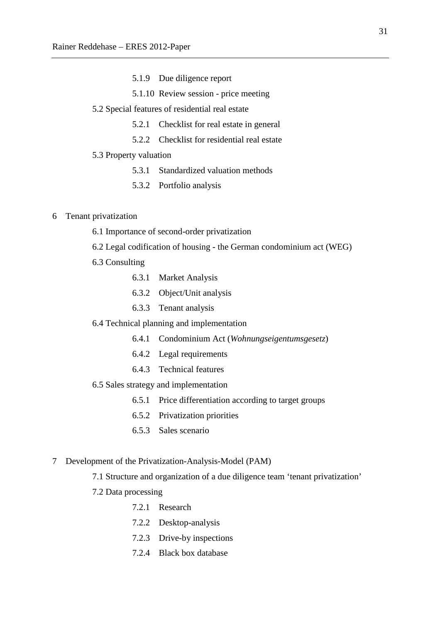- 5.1.9 Due diligence report
- 5.1.10 Review session price meeting
- 5.2 Special features of residential real estate
	- 5.2.1 Checklist for real estate in general
	- 5.2.2 Checklist for residential real estate
- 5.3 Property valuation
	- 5.3.1 Standardized valuation methods
	- 5.3.2 Portfolio analysis

#### 6 Tenant privatization

- 6.1 Importance of second-order privatization
- 6.2 Legal codification of housing the German condominium act (WEG)
- 6.3 Consulting
	- 6.3.1 Market Analysis
	- 6.3.2 Object/Unit analysis
	- 6.3.3 Tenant analysis
- 6.4 Technical planning and implementation
	- 6.4.1 Condominium Act (*Wohnungseigentumsgesetz*)
	- 6.4.2 Legal requirements
	- 6.4.3 Technical features

#### 6.5 Sales strategy and implementation

- 6.5.1 Price differentiation according to target groups
- 6.5.2 Privatization priorities
- 6.5.3 Sales scenario
- 7 Development of the Privatization-Analysis-Model (PAM)
	- 7.1 Structure and organization of a due diligence team 'tenant privatization'
	- 7.2 Data processing
		- 7.2.1 Research
		- 7.2.2 Desktop-analysis
		- 7.2.3 Drive-by inspections
		- 7.2.4 Black box database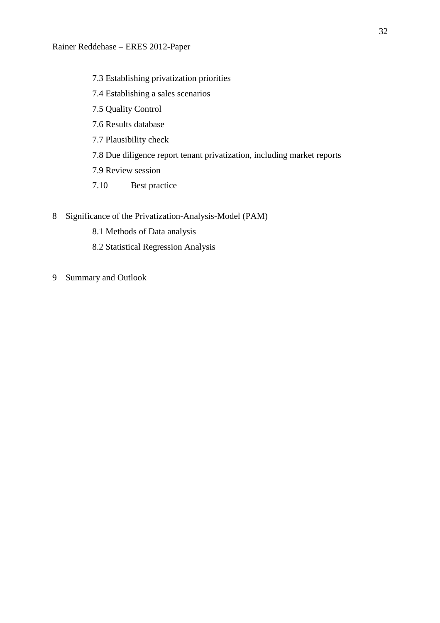- 7.3 Establishing privatization priorities
- 7.4 Establishing a sales scenarios
- 7.5 Quality Control
- 7.6 Results database
- 7.7 Plausibility check
- 7.8 Due diligence report tenant privatization, including market reports
- 7.9 Review session
- 7.10 Best practice
- 8 Significance of the Privatization-Analysis-Model (PAM)
	- 8.1 Methods of Data analysis
	- 8.2 Statistical Regression Analysis
- 9 Summary and Outlook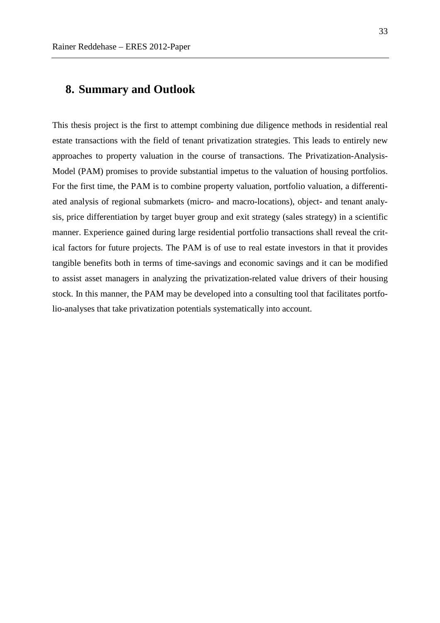## **8. Summary and Outlook**

This thesis project is the first to attempt combining due diligence methods in residential real estate transactions with the field of tenant privatization strategies. This leads to entirely new approaches to property valuation in the course of transactions. The Privatization-Analysis-Model (PAM) promises to provide substantial impetus to the valuation of housing portfolios. For the first time, the PAM is to combine property valuation, portfolio valuation, a differentiated analysis of regional submarkets (micro- and macro-locations), object- and tenant analysis, price differentiation by target buyer group and exit strategy (sales strategy) in a scientific manner. Experience gained during large residential portfolio transactions shall reveal the critical factors for future projects. The PAM is of use to real estate investors in that it provides tangible benefits both in terms of time-savings and economic savings and it can be modified to assist asset managers in analyzing the privatization-related value drivers of their housing stock. In this manner, the PAM may be developed into a consulting tool that facilitates portfolio-analyses that take privatization potentials systematically into account.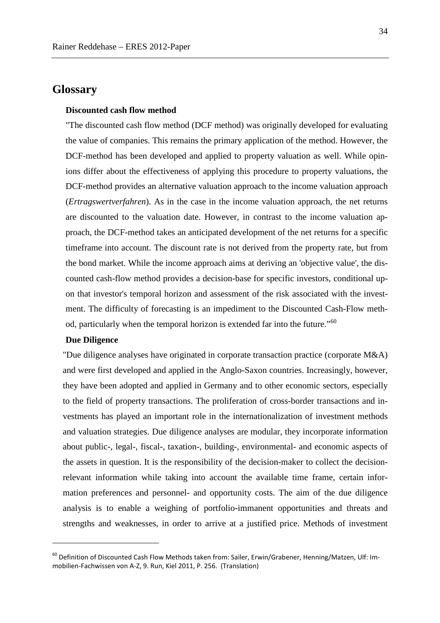## **Glossary**

#### **Discounted cash flow method**

"The discounted cash flow method (DCF method) was originally developed for evaluating the value of companies. This remains the primary application of the method. However, the DCF-method has been developed and applied to property valuation as well. While opinions differ about the effectiveness of applying this procedure to property valuations, the DCF-method provides an alternative valuation approach to the income valuation approach (*Ertragswertverfahren*). As in the case in the income valuation approach, the net returns are discounted to the valuation date. However, in contrast to the income valuation approach, the DCF-method takes an anticipated development of the net returns for a specific timeframe into account. The discount rate is not derived from the property rate, but from the bond market. While the income approach aims at deriving an 'objective value', the discounted cash-flow method provides a decision-base for specific investors, conditional upon that investor's temporal horizon and assessment of the risk associated with the investment. The difficulty of forecasting is an impediment to the Discounted Cash-Flow method, particularly when the temporal horizon is extended far into the future."<sup>60</sup>

#### **Due Diligence**

 $\overline{a}$ 

"Due diligence analyses have originated in corporate transaction practice (corporate M&A) and were first developed and applied in the Anglo-Saxon countries. Increasingly, however, they have been adopted and applied in Germany and to other economic sectors, especially to the field of property transactions. The proliferation of cross-border transactions and investments has played an important role in the internationalization of investment methods and valuation strategies. Due diligence analyses are modular, they incorporate information about public-, legal-, fiscal-, taxation-, building-, environmental- and economic aspects of the assets in question. It is the responsibility of the decision-maker to collect the decisionrelevant information while taking into account the available time frame, certain information preferences and personnel- and opportunity costs. The aim of the due diligence analysis is to enable a weighing of portfolio-immanent opportunities and threats and strengths and weaknesses, in order to arrive at a justified price. Methods of investment

 $^{60}$  Definition of Discounted Cash Flow Methods taken from: Sailer, Erwin/Grabener, Henning/Matzen, Ulf: Immobilien-Fachwissen von A-Z, 9. Run, Kiel 2011, P. 256. (Translation)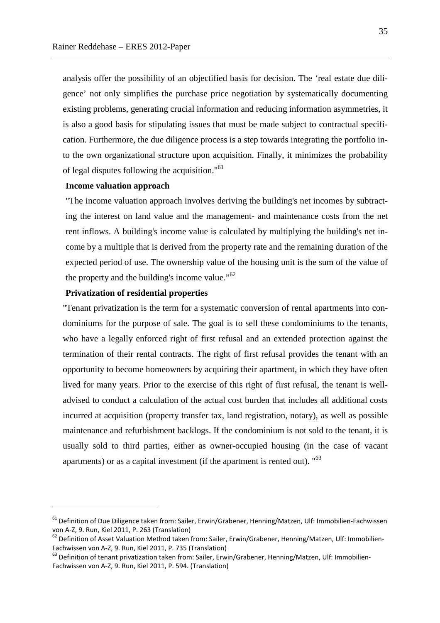analysis offer the possibility of an objectified basis for decision. The 'real estate due diligence' not only simplifies the purchase price negotiation by systematically documenting existing problems, generating crucial information and reducing information asymmetries, it is also a good basis for stipulating issues that must be made subject to contractual specification. Furthermore, the due diligence process is a step towards integrating the portfolio into the own organizational structure upon acquisition. Finally, it minimizes the probability of legal disputes following the acquisition."<sup>61</sup>

#### **Income valuation approach**

"The income valuation approach involves deriving the building's net incomes by subtracting the interest on land value and the management- and maintenance costs from the net rent inflows. A building's income value is calculated by multiplying the building's net income by a multiple that is derived from the property rate and the remaining duration of the expected period of use. The ownership value of the housing unit is the sum of the value of the property and the building's income value."<sup>62</sup>

#### **Privatization of residential properties**

 $\overline{a}$ 

"Tenant privatization is the term for a systematic conversion of rental apartments into condominiums for the purpose of sale. The goal is to sell these condominiums to the tenants, who have a legally enforced right of first refusal and an extended protection against the termination of their rental contracts. The right of first refusal provides the tenant with an opportunity to become homeowners by acquiring their apartment, in which they have often lived for many years. Prior to the exercise of this right of first refusal, the tenant is welladvised to conduct a calculation of the actual cost burden that includes all additional costs incurred at acquisition (property transfer tax, land registration, notary), as well as possible maintenance and refurbishment backlogs. If the condominium is not sold to the tenant, it is usually sold to third parties, either as owner-occupied housing (in the case of vacant apartments) or as a capital investment (if the apartment is rented out). "<sup>63</sup>

<sup>&</sup>lt;sup>61</sup> Definition of Due Diligence taken from: Sailer, Erwin/Grabener, Henning/Matzen, Ulf: Immobilien-Fachwissen von A-Z, 9. Run, Kiel 2011, P. 263 (Translation)

<sup>&</sup>lt;sup>62</sup> Definition of Asset Valuation Method taken from: Sailer, Erwin/Grabener, Henning/Matzen, Ulf: Immobilien-Fachwissen von A-Z, 9. Run, Kiel 2011, P. 735 (Translation)

<sup>&</sup>lt;sup>63</sup> Definition of tenant privatization taken from: Sailer, Erwin/Grabener, Henning/Matzen, Ulf: Immobilien-Fachwissen von A-Z, 9. Run, Kiel 2011, P. 594. (Translation)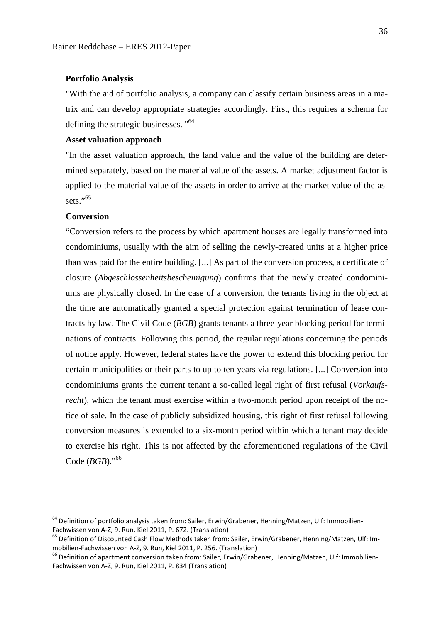#### **Portfolio Analysis**

"With the aid of portfolio analysis, a company can classify certain business areas in a matrix and can develop appropriate strategies accordingly. First, this requires a schema for defining the strategic businesses. "<sup>64</sup>

#### **Asset valuation approach**

"In the asset valuation approach, the land value and the value of the building are determined separately, based on the material value of the assets. A market adjustment factor is applied to the material value of the assets in order to arrive at the market value of the assets $"$ <sup>65</sup>

#### **Conversion**

 $\overline{a}$ 

"Conversion refers to the process by which apartment houses are legally transformed into condominiums, usually with the aim of selling the newly-created units at a higher price than was paid for the entire building. [...] As part of the conversion process, a certificate of closure (*Abgeschlossenheitsbescheinigung*) confirms that the newly created condominiums are physically closed. In the case of a conversion, the tenants living in the object at the time are automatically granted a special protection against termination of lease contracts by law. The Civil Code (*BGB*) grants tenants a three-year blocking period for terminations of contracts. Following this period, the regular regulations concerning the periods of notice apply. However, federal states have the power to extend this blocking period for certain municipalities or their parts to up to ten years via regulations. [...] Conversion into condominiums grants the current tenant a so-called legal right of first refusal (*Vorkaufsrecht*), which the tenant must exercise within a two-month period upon receipt of the notice of sale. In the case of publicly subsidized housing, this right of first refusal following conversion measures is extended to a six-month period within which a tenant may decide to exercise his right. This is not affected by the aforementioned regulations of the Civil Code (*BGB*)."<sup>66</sup>

 $64$  Definition of portfolio analysis taken from: Sailer, Erwin/Grabener, Henning/Matzen, Ulf: Immobilien-Fachwissen von A-Z, 9. Run, Kiel 2011, P. 672. (Translation)

<sup>&</sup>lt;sup>65</sup> Definition of Discounted Cash Flow Methods taken from: Sailer, Erwin/Grabener, Henning/Matzen, Ulf: Immobilien-Fachwissen von A-Z, 9. Run, Kiel 2011, P. 256. (Translation)

<sup>&</sup>lt;sup>66</sup> Definition of apartment conversion taken from: Sailer, Erwin/Grabener, Henning/Matzen, Ulf: Immobilien-Fachwissen von A-Z, 9. Run, Kiel 2011, P. 834 (Translation)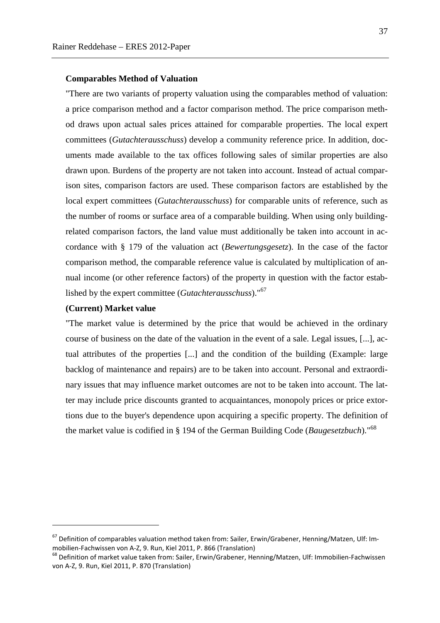#### **Comparables Method of Valuation**

"There are two variants of property valuation using the comparables method of valuation: a price comparison method and a factor comparison method. The price comparison method draws upon actual sales prices attained for comparable properties. The local expert committees (*Gutachterausschuss*) develop a community reference price. In addition, documents made available to the tax offices following sales of similar properties are also drawn upon. Burdens of the property are not taken into account. Instead of actual comparison sites, comparison factors are used. These comparison factors are established by the local expert committees (*Gutachterausschuss*) for comparable units of reference, such as the number of rooms or surface area of a comparable building. When using only buildingrelated comparison factors, the land value must additionally be taken into account in accordance with § 179 of the valuation act (*Bewertungsgesetz*). In the case of the factor comparison method, the comparable reference value is calculated by multiplication of annual income (or other reference factors) of the property in question with the factor established by the expert committee (*Gutachterausschuss*)."<sup>67</sup>

#### **(Current) Market value**

 $\overline{a}$ 

"The market value is determined by the price that would be achieved in the ordinary course of business on the date of the valuation in the event of a sale. Legal issues, [...], actual attributes of the properties [...] and the condition of the building (Example: large backlog of maintenance and repairs) are to be taken into account. Personal and extraordinary issues that may influence market outcomes are not to be taken into account. The latter may include price discounts granted to acquaintances, monopoly prices or price extortions due to the buyer's dependence upon acquiring a specific property. The definition of the market value is codified in § 194 of the German Building Code (*Baugesetzbuch*)."<sup>68</sup>

<sup>67</sup> Definition of comparables valuation method taken from: Sailer, Erwin/Grabener, Henning/Matzen, Ulf: Immobilien-Fachwissen von A-Z, 9. Run, Kiel 2011, P. 866 (Translation)

<sup>68</sup> Definition of market value taken from: Sailer, Erwin/Grabener, Henning/Matzen, Ulf: Immobilien-Fachwissen von A-Z, 9. Run, Kiel 2011, P. 870 (Translation)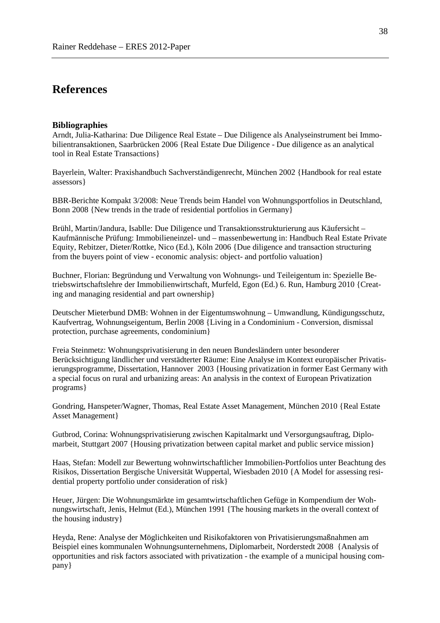## **References**

#### **Bibliographies**

Arndt, Julia-Katharina: Due Diligence Real Estate – Due Diligence als Analyseinstrument bei Immobilientransaktionen, Saarbrücken 2006 {Real Estate Due Diligence - Due diligence as an analytical tool in Real Estate Transactions}

Bayerlein, Walter: Praxishandbuch Sachverständigenrecht, München 2002 {Handbook for real estate assessors}

BBR-Berichte Kompakt 3/2008: Neue Trends beim Handel von Wohnungsportfolios in Deutschland, Bonn 2008 {New trends in the trade of residential portfolios in Germany}

Brühl, Martin/Jandura, Isablle: Due Diligence und Transaktionsstrukturierung aus Käufersicht – Kaufmännische Prüfung: Immobilieneinzel- und – massenbewertung in: Handbuch Real Estate Private Equity, Rebitzer, Dieter/Rottke, Nico (Ed.), Köln 2006 {Due diligence and transaction structuring from the buyers point of view - economic analysis: object- and portfolio valuation}

Buchner, Florian: Begründung und Verwaltung von Wohnungs- und Teileigentum in: Spezielle Betriebswirtschaftslehre der Immobilienwirtschaft, Murfeld, Egon (Ed.) 6. Run, Hamburg 2010 {Creating and managing residential and part ownership}

Deutscher Mieterbund DMB: Wohnen in der Eigentumswohnung – Umwandlung, Kündigungsschutz, Kaufvertrag, Wohnungseigentum, Berlin 2008 {Living in a Condominium - Conversion, dismissal protection, purchase agreements, condominium}

Freia Steinmetz: Wohnungsprivatisierung in den neuen Bundesländern unter besonderer Berücksichtigung ländlicher und verstädterter Räume: Eine Analyse im Kontext europäischer Privatisierungsprogramme, Dissertation, Hannover 2003 {Housing privatization in former East Germany with a special focus on rural and urbanizing areas: An analysis in the context of European Privatization programs}

Gondring, Hanspeter/Wagner, Thomas, Real Estate Asset Management, München 2010 {Real Estate Asset Management}

Gutbrod, Corina: Wohnungsprivatisierung zwischen Kapitalmarkt und Versorgungsauftrag, Diplomarbeit, Stuttgart 2007 {Housing privatization between capital market and public service mission}

Haas, Stefan: Modell zur Bewertung wohnwirtschaftlicher Immobilien-Portfolios unter Beachtung des Risikos, Dissertation Bergische Universität Wuppertal, Wiesbaden 2010 {A Model for assessing residential property portfolio under consideration of risk}

Heuer, Jürgen: Die Wohnungsmärkte im gesamtwirtschaftlichen Gefüge in Kompendium der Wohnungswirtschaft, Jenis, Helmut (Ed.), München 1991 {The housing markets in the overall context of the housing industry}

Heyda, Rene: Analyse der Möglichkeiten und Risikofaktoren von Privatisierungsmaßnahmen am Beispiel eines kommunalen Wohnungsunternehmens, Diplomarbeit, Norderstedt 2008 {Analysis of opportunities and risk factors associated with privatization - the example of a municipal housing company}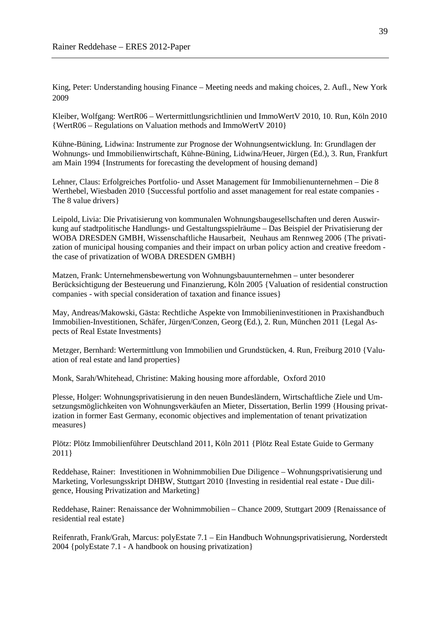King, Peter: Understanding housing Finance – Meeting needs and making choices, 2. Aufl., New York 2009

Kleiber, Wolfgang: WertR06 – Wertermittlungsrichtlinien und ImmoWertV 2010, 10. Run, Köln 2010 {WertR06 – Regulations on Valuation methods and ImmoWertV 2010}

Kühne-Büning, Lidwina: Instrumente zur Prognose der Wohnungsentwicklung. In: Grundlagen der Wohnungs- und Immobilienwirtschaft, Kühne-Büning, Lidwina/Heuer, Jürgen (Ed.), 3. Run, Frankfurt am Main 1994 {Instruments for forecasting the development of housing demand}

Lehner, Claus: Erfolgreiches Portfolio- und Asset Management für Immobilienunternehmen – Die 8 Werthebel, Wiesbaden 2010 {Successful portfolio and asset management for real estate companies - The 8 value drivers}

Leipold, Livia: Die Privatisierung von kommunalen Wohnungsbaugesellschaften und deren Auswirkung auf stadtpolitische Handlungs- und Gestaltungsspielräume – Das Beispiel der Privatisierung der WOBA DRESDEN GMBH, Wissenschaftliche Hausarbeit, Neuhaus am Rennweg 2006 {The privatization of municipal housing companies and their impact on urban policy action and creative freedom the case of privatization of WOBA DRESDEN GMBH}

Matzen, Frank: Unternehmensbewertung von Wohnungsbauunternehmen – unter besonderer Berücksichtigung der Besteuerung und Finanzierung, Köln 2005 {Valuation of residential construction companies - with special consideration of taxation and finance issues}

May, Andreas/Makowski, Gästa: Rechtliche Aspekte von Immobilieninvestitionen in Praxishandbuch Immobilien-Investitionen, Schäfer, Jürgen/Conzen, Georg (Ed.), 2. Run, München 2011 {Legal Aspects of Real Estate Investments}

Metzger, Bernhard: Wertermittlung von Immobilien und Grundstücken, 4. Run, Freiburg 2010 {Valuation of real estate and land properties}

Monk, Sarah/Whitehead, Christine: Making housing more affordable, Oxford 2010

Plesse, Holger: Wohnungsprivatisierung in den neuen Bundesländern, Wirtschaftliche Ziele und Umsetzungsmöglichkeiten von Wohnungsverkäufen an Mieter, Dissertation, Berlin 1999 {Housing privatization in former East Germany, economic objectives and implementation of tenant privatization measures}

Plötz: Plötz Immobilienführer Deutschland 2011, Köln 2011 {Plötz Real Estate Guide to Germany 2011}

Reddehase, Rainer: Investitionen in Wohnimmobilien Due Diligence – Wohnungsprivatisierung und Marketing, Vorlesungsskript DHBW, Stuttgart 2010 {Investing in residential real estate - Due diligence, Housing Privatization and Marketing}

Reddehase, Rainer: Renaissance der Wohnimmobilien – Chance 2009, Stuttgart 2009 {Renaissance of residential real estate}

Reifenrath, Frank/Grah, Marcus: polyEstate 7.1 – Ein Handbuch Wohnungsprivatisierung, Norderstedt 2004 {polyEstate 7.1 - A handbook on housing privatization}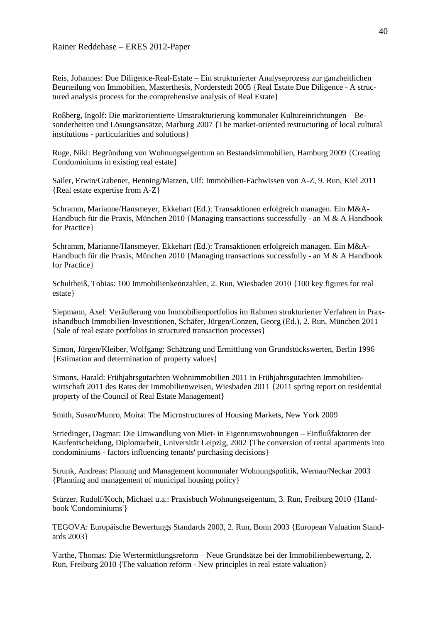Reis, Johannes: Due Diligence-Real-Estate – Ein strukturierter Analyseprozess zur ganzheitlichen Beurteilung von Immobilien, Masterthesis, Norderstedt 2005 {Real Estate Due Diligence - A structured analysis process for the comprehensive analysis of Real Estate}

Roßberg, Ingolf: Die marktorientierte Umstrukturierung kommunaler Kultureinrichtungen – Besonderheiten und Lösungsansätze, Marburg 2007 {The market-oriented restructuring of local cultural institutions - particularities and solutions}

Ruge, Niki: Begründung von Wohnungseigentum an Bestandsimmobilien, Hamburg 2009 {Creating Condominiums in existing real estate}

Sailer, Erwin/Grabener, Henning/Matzen, Ulf: Immobilien-Fachwissen von A-Z, 9. Run, Kiel 2011 {Real estate expertise from A-Z}

Schramm, Marianne/Hansmeyer, Ekkehart (Ed.): Transaktionen erfolgreich managen. Ein M&A-Handbuch für die Praxis, München 2010 {Managing transactions successfully - an M & A Handbook for Practice}

Schramm, Marianne/Hansmeyer, Ekkehart (Ed.): Transaktionen erfolgreich managen. Ein M&A-Handbuch für die Praxis, München 2010 {Managing transactions successfully - an M & A Handbook for Practice}

Schultheiß, Tobias: 100 Immobilienkennzahlen, 2. Run, Wiesbaden 2010 {100 key figures for real estate}

Siepmann, Axel: Veräußerung von Immobilienportfolios im Rahmen strukturierter Verfahren in Praxishandbuch Immobilien-Investitionen, Schäfer, Jürgen/Conzen, Georg (Ed.), 2. Run, München 2011 {Sale of real estate portfolios in structured transaction processes}

Simon, Jürgen/Kleiber, Wolfgang: Schätzung und Ermittlung von Grundstückswerten, Berlin 1996 {Estimation and determination of property values}

Simons, Harald: Frühjahrsgutachten Wohnimmobilien 2011 in Frühjahrsgutachten Immobilienwirtschaft 2011 des Rates der Immobilienweisen, Wiesbaden 2011 {2011 spring report on residential property of the Council of Real Estate Management}

Smith, Susan/Munro, Moira: The Microstructures of Housing Markets, New York 2009

Striedinger, Dagmar: Die Umwandlung von Miet- in Eigentumswohnungen – Einflußfaktoren der Kaufentscheidung, Diplomarbeit, Universität Leipzig, 2002 {The conversion of rental apartments into condominiums - factors influencing tenants' purchasing decisions}

Strunk, Andreas: Planung und Management kommunaler Wohnungspolitik, Wernau/Neckar 2003 {Planning and management of municipal housing policy}

Stürzer, Rudolf/Koch, Michael u.a.: Praxisbuch Wohnungseigentum, 3. Run, Freiburg 2010 {Handbook 'Condominiums'}

TEGOVA: Europäische Bewertungs Standards 2003, 2. Run, Bonn 2003 {European Valuation Standards 2003}

Varthe, Thomas: Die Wertermittlungsreform – Neue Grundsätze bei der Immobilienbewertung, 2. Run, Freiburg 2010 {The valuation reform - New principles in real estate valuation}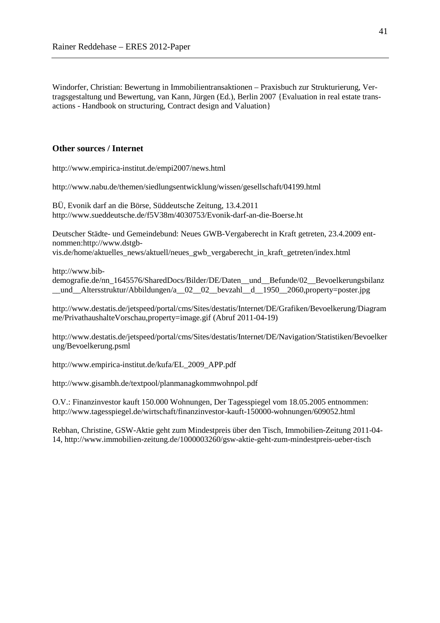Windorfer, Christian: Bewertung in Immobilientransaktionen – Praxisbuch zur Strukturierung, Vertragsgestaltung und Bewertung, van Kann, Jürgen (Ed.), Berlin 2007 {Evaluation in real estate transactions - Handbook on structuring, Contract design and Valuation}

#### **Other sources / Internet**

http://www.empirica-institut.de/empi2007/news.html

http://www.nabu.de/themen/siedlungsentwicklung/wissen/gesellschaft/04199.html

BÜ, Evonik darf an die Börse, Süddeutsche Zeitung, 13.4.2011 http://www.sueddeutsche.de/f5V38m/4030753/Evonik-darf-an-die-Boerse.ht

Deutscher Städte- und Gemeindebund: Neues GWB-Vergaberecht in Kraft getreten, 23.4.2009 entnommen:http://www.dstgb-

vis.de/home/aktuelles\_news/aktuell/neues\_gwb\_vergaberecht\_in\_kraft\_getreten/index.html

http://www.bib-

demografie.de/nn\_1645576/SharedDocs/Bilder/DE/Daten\_\_und\_\_Befunde/02\_\_Bevoelkerungsbilanz und Altersstruktur/Abbildungen/a 02 02 bevzahl d 1950 2060,property=poster.jpg

http://www.destatis.de/jetspeed/portal/cms/Sites/destatis/Internet/DE/Grafiken/Bevoelkerung/Diagram me/PrivathaushalteVorschau,property=image.gif (Abruf 2011-04-19)

http://www.destatis.de/jetspeed/portal/cms/Sites/destatis/Internet/DE/Navigation/Statistiken/Bevoelker ung/Bevoelkerung.psml

http://www.empirica-institut.de/kufa/EL\_2009\_APP.pdf

http://www.gisambh.de/textpool/planmanagkommwohnpol.pdf

O.V.: Finanzinvestor kauft 150.000 Wohnungen, Der Tagesspiegel vom 18.05.2005 entnommen: http://www.tagesspiegel.de/wirtschaft/finanzinvestor-kauft-150000-wohnungen/609052.html

Rebhan, Christine, GSW-Aktie geht zum Mindestpreis über den Tisch, Immobilien-Zeitung 2011-04- 14, http://www.immobilien-zeitung.de/1000003260/gsw-aktie-geht-zum-mindestpreis-ueber-tisch